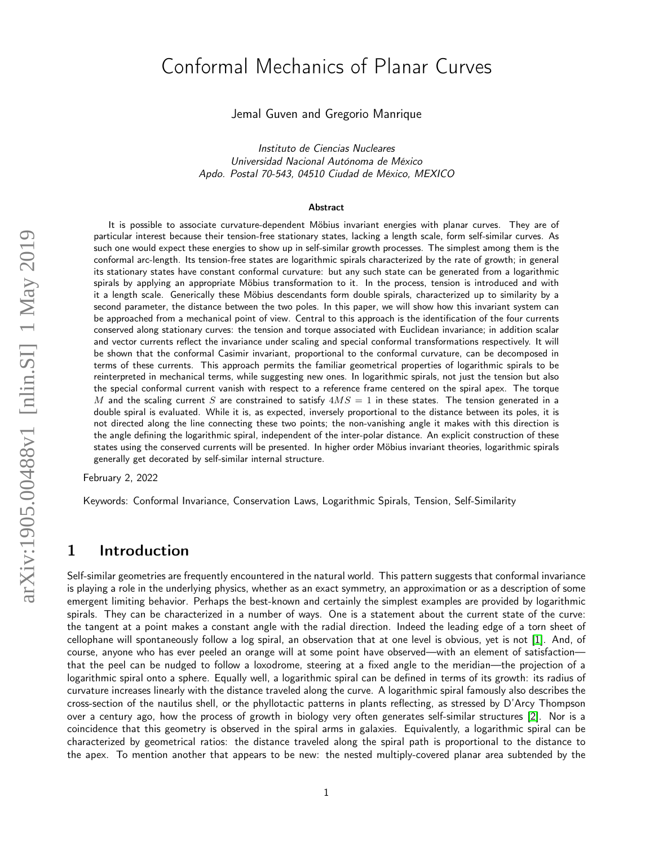# Conformal Mechanics of Planar Curves

Jemal Guven and Gregorio Manrique

Instituto de Ciencias Nucleares Universidad Nacional Autónoma de México Apdo. Postal 70-543, 04510 Ciudad de México, MEXICO

#### Abstract

It is possible to associate curvature-dependent Möbius invariant energies with planar curves. They are of particular interest because their tension-free stationary states, lacking a length scale, form self-similar curves. As such one would expect these energies to show up in self-similar growth processes. The simplest among them is the conformal arc-length. Its tension-free states are logarithmic spirals characterized by the rate of growth; in general its stationary states have constant conformal curvature: but any such state can be generated from a logarithmic spirals by applying an appropriate Möbius transformation to it. In the process, tension is introduced and with it a length scale. Generically these Möbius descendants form double spirals, characterized up to similarity by a second parameter, the distance between the two poles. In this paper, we will show how this invariant system can be approached from a mechanical point of view. Central to this approach is the identification of the four currents conserved along stationary curves: the tension and torque associated with Euclidean invariance; in addition scalar and vector currents reflect the invariance under scaling and special conformal transformations respectively. It will be shown that the conformal Casimir invariant, proportional to the conformal curvature, can be decomposed in terms of these currents. This approach permits the familiar geometrical properties of logarithmic spirals to be reinterpreted in mechanical terms, while suggesting new ones. In logarithmic spirals, not just the tension but also the special conformal current vanish with respect to a reference frame centered on the spiral apex. The torque M and the scaling current S are constrained to satisfy  $4MS = 1$  in these states. The tension generated in a double spiral is evaluated. While it is, as expected, inversely proportional to the distance between its poles, it is not directed along the line connecting these two points; the non-vanishing angle it makes with this direction is the angle defining the logarithmic spiral, independent of the inter-polar distance. An explicit construction of these states using the conserved currents will be presented. In higher order Möbius invariant theories, logarithmic spirals generally get decorated by self-similar internal structure.

February 2, 2022

Keywords: Conformal Invariance, Conservation Laws, Logarithmic Spirals, Tension, Self-Similarity

### 1 Introduction

Self-similar geometries are frequently encountered in the natural world. This pattern suggests that conformal invariance is playing a role in the underlying physics, whether as an exact symmetry, an approximation or as a description of some emergent limiting behavior. Perhaps the best-known and certainly the simplest examples are provided by logarithmic spirals. They can be characterized in a number of ways. One is a statement about the current state of the curve: the tangent at a point makes a constant angle with the radial direction. Indeed the leading edge of a torn sheet of cellophane will spontaneously follow a log spiral, an observation that at one level is obvious, yet is not [\[1\]](#page-22-0). And, of course, anyone who has ever peeled an orange will at some point have observed—with an element of satisfaction that the peel can be nudged to follow a loxodrome, steering at a fixed angle to the meridian—the projection of a logarithmic spiral onto a sphere. Equally well, a logarithmic spiral can be defined in terms of its growth: its radius of curvature increases linearly with the distance traveled along the curve. A logarithmic spiral famously also describes the cross-section of the nautilus shell, or the phyllotactic patterns in plants reflecting, as stressed by D'Arcy Thompson over a century ago, how the process of growth in biology very often generates self-similar structures [\[2\]](#page-22-1). Nor is a coincidence that this geometry is observed in the spiral arms in galaxies. Equivalently, a logarithmic spiral can be characterized by geometrical ratios: the distance traveled along the spiral path is proportional to the distance to the apex. To mention another that appears to be new: the nested multiply-covered planar area subtended by the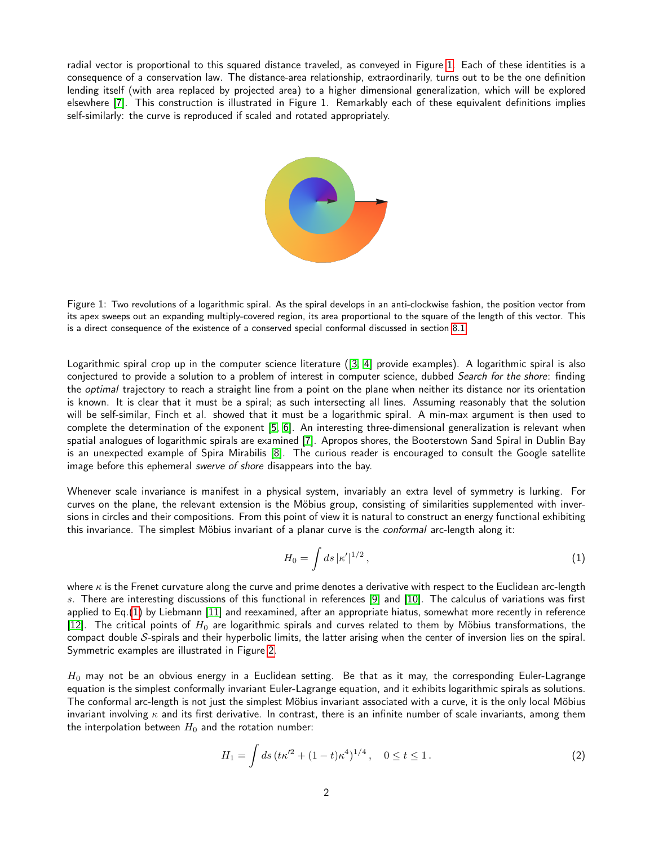radial vector is proportional to this squared distance traveled, as conveyed in Figure [1.](#page-1-0) Each of these identities is a consequence of a conservation law. The distance-area relationship, extraordinarily, turns out to be the one definition lending itself (with area replaced by projected area) to a higher dimensional generalization, which will be explored elsewhere [\[7\]](#page-23-0). This construction is illustrated in Figure 1. Remarkably each of these equivalent definitions implies self-similarly: the curve is reproduced if scaled and rotated appropriately.



<span id="page-1-0"></span>Figure 1: Two revolutions of a logarithmic spiral. As the spiral develops in an anti-clockwise fashion, the position vector from its apex sweeps out an expanding multiply-covered region, its area proportional to the square of the length of this vector. This is a direct consequence of the existence of a conserved special conformal discussed in section [8.1.](#page-12-0)

Logarithmic spiral crop up in the computer science literature ([\[3,](#page-22-2) [4\]](#page-22-3) provide examples). A logarithmic spiral is also conjectured to provide a solution to a problem of interest in computer science, dubbed Search for the shore: finding the *optimal* trajectory to reach a straight line from a point on the plane when neither its distance nor its orientation is known. It is clear that it must be a spiral; as such intersecting all lines. Assuming reasonably that the solution will be self-similar, Finch et al. showed that it must be a logarithmic spiral. A min-max argument is then used to complete the determination of the exponent [\[5,](#page-22-4) [6\]](#page-22-5). An interesting three-dimensional generalization is relevant when spatial analogues of logarithmic spirals are examined [\[7\]](#page-23-0). Apropos shores, the Booterstown Sand Spiral in Dublin Bay is an unexpected example of Spira Mirabilis [\[8\]](#page-23-1). The curious reader is encouraged to consult the Google satellite image before this ephemeral swerve of shore disappears into the bay.

Whenever scale invariance is manifest in a physical system, invariably an extra level of symmetry is lurking. For curves on the plane, the relevant extension is the Möbius group, consisting of similarities supplemented with inversions in circles and their compositions. From this point of view it is natural to construct an energy functional exhibiting this invariance. The simplest Möbius invariant of a planar curve is the *conformal* arc-length along it:

<span id="page-1-1"></span>
$$
H_0 = \int ds \, |\kappa'|^{1/2} \,, \tag{1}
$$

where  $\kappa$  is the Frenet curvature along the curve and prime denotes a derivative with respect to the Euclidean arc-length s. There are interesting discussions of this functional in references [\[9\]](#page-23-2) and [\[10\]](#page-23-3). The calculus of variations was first applied to Eq.[\(1\)](#page-1-1) by Liebmann [\[11\]](#page-23-4) and reexamined, after an appropriate hiatus, somewhat more recently in reference [\[12\]](#page-23-5). The critical points of  $H_0$  are logarithmic spirals and curves related to them by Möbius transformations, the compact double S-spirals and their hyperbolic limits, the latter arising when the center of inversion lies on the spiral. Symmetric examples are illustrated in Figure [2.](#page-2-0)

 $H_0$  may not be an obvious energy in a Euclidean setting. Be that as it may, the corresponding Euler-Lagrange equation is the simplest conformally invariant Euler-Lagrange equation, and it exhibits logarithmic spirals as solutions. The conformal arc-length is not just the simplest Möbius invariant associated with a curve, it is the only local Möbius invariant involving  $\kappa$  and its first derivative. In contrast, there is an infinite number of scale invariants, among them the interpolation between  $H_0$  and the rotation number:

<span id="page-1-2"></span>
$$
H_1 = \int ds \, (t\kappa^{\prime 2} + (1-t)\kappa^4)^{1/4} \,, \quad 0 \le t \le 1 \,.
$$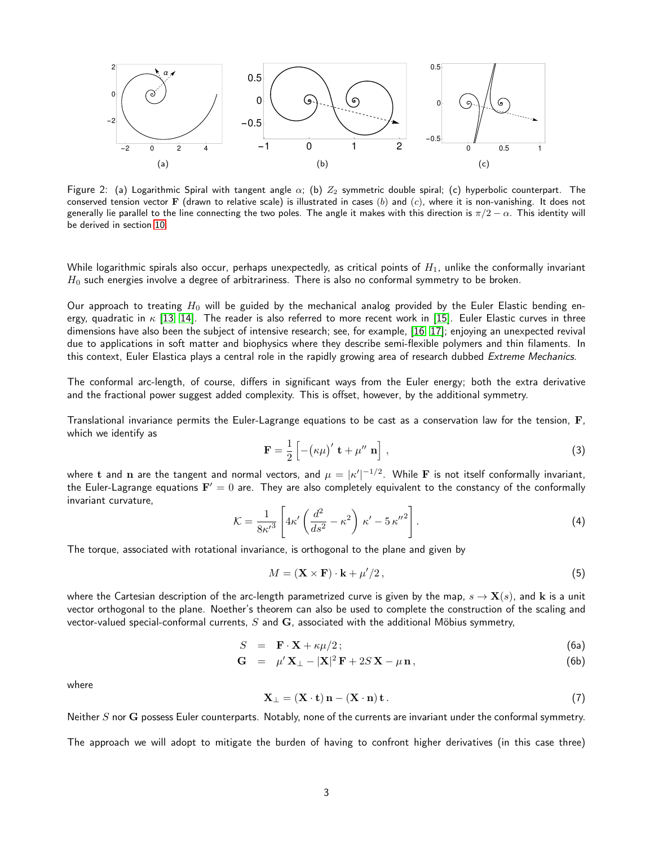

<span id="page-2-0"></span>Figure 2: (a) Logarithmic Spiral with tangent angle  $\alpha$ ; (b)  $Z_2$  symmetric double spiral; (c) hyperbolic counterpart. The conserved tension vector F (drawn to relative scale) is illustrated in cases (b) and (c), where it is non-vanishing. It does not generally lie parallel to the line connecting the two poles. The angle it makes with this direction is  $\pi/2 - \alpha$ . This identity will be derived in section [10.](#page-14-0)

While logarithmic spirals also occur, perhaps unexpectedly, as critical points of  $H_1$ , unlike the conformally invariant  $H_0$  such energies involve a degree of arbitrariness. There is also no conformal symmetry to be broken.

Our approach to treating  $H_0$  will be guided by the mechanical analog provided by the Euler Elastic bending energy, quadratic in  $\kappa$  [\[13,](#page-23-6) [14\]](#page-23-7). The reader is also referred to more recent work in [\[15\]](#page-23-8). Euler Elastic curves in three dimensions have also been the subject of intensive research; see, for example, [\[16,](#page-23-9) [17\]](#page-23-10); enjoying an unexpected revival due to applications in soft matter and biophysics where they describe semi-flexible polymers and thin filaments. In this context, Euler Elastica plays a central role in the rapidly growing area of research dubbed Extreme Mechanics.

The conformal arc-length, of course, differs in significant ways from the Euler energy; both the extra derivative and the fractional power suggest added complexity. This is offset, however, by the additional symmetry.

Translational invariance permits the Euler-Lagrange equations to be cast as a conservation law for the tension, F, which we identify as

<span id="page-2-2"></span>
$$
\mathbf{F} = \frac{1}{2} \left[ -(\kappa \mu)' \mathbf{t} + \mu'' \mathbf{n} \right],
$$
 (3)

where  ${\bf t}$  and  ${\bf n}$  are the tangent and normal vectors, and  $\mu=|\kappa'|^{-1/2}.$  While  ${\bf F}$  is not itself conformally invariant, the Euler-Lagrange equations  ${\bf F}'=0$  are. They are also completely equivalent to the constancy of the conformally invariant curvature,

<span id="page-2-1"></span>
$$
\mathcal{K} = \frac{1}{8\kappa'^3} \left[ 4\kappa' \left( \frac{d^2}{ds^2} - \kappa^2 \right) \kappa' - 5 \kappa''^2 \right]. \tag{4}
$$

The torque, associated with rotational invariance, is orthogonal to the plane and given by

<span id="page-2-4"></span><span id="page-2-3"></span>
$$
M = (\mathbf{X} \times \mathbf{F}) \cdot \mathbf{k} + \mu'/2, \tag{5}
$$

where the Cartesian description of the arc-length parametrized curve is given by the map,  $s \to \mathbf{X}(s)$ , and k is a unit vector orthogonal to the plane. Noether's theorem can also be used to complete the construction of the scaling and vector-valued special-conformal currents,  $S$  and  $G$ , associated with the additional Möbius symmetry,

$$
S = \mathbf{F} \cdot \mathbf{X} + \kappa \mu / 2; \tag{6a}
$$

$$
\mathbf{G} = \mu' \mathbf{X}_{\perp} - |\mathbf{X}|^2 \mathbf{F} + 2S \mathbf{X} - \mu \mathbf{n}, \qquad (6b)
$$

where

<span id="page-2-5"></span>
$$
\mathbf{X}_{\perp} = (\mathbf{X} \cdot \mathbf{t}) \mathbf{n} - (\mathbf{X} \cdot \mathbf{n}) \mathbf{t}.
$$
 (7)

Neither  $S$  nor  $G$  possess Euler counterparts. Notably, none of the currents are invariant under the conformal symmetry.

The approach we will adopt to mitigate the burden of having to confront higher derivatives (in this case three)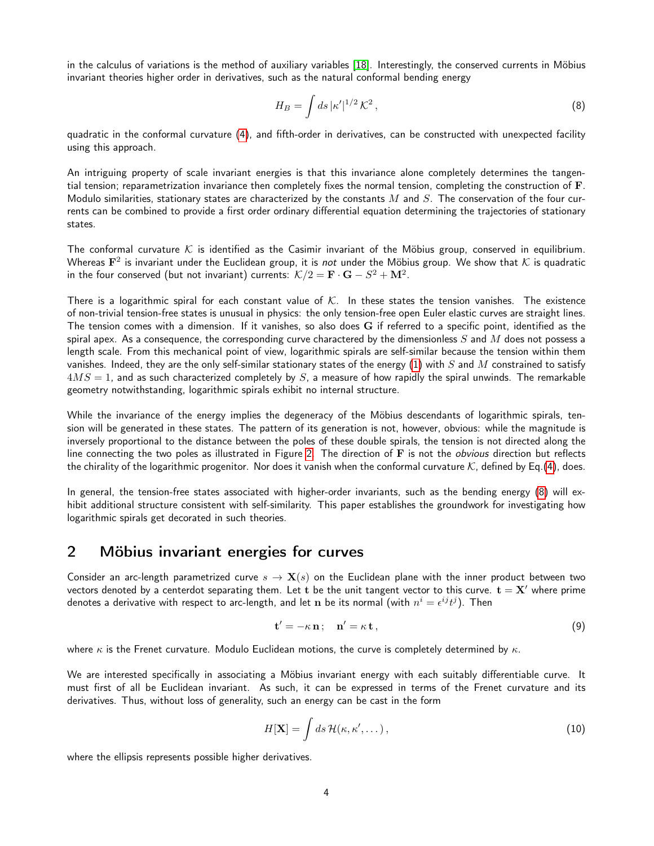in the calculus of variations is the method of auxiliary variables [\[18\]](#page-23-11). Interestingly, the conserved currents in Möbius invariant theories higher order in derivatives, such as the natural conformal bending energy

<span id="page-3-0"></span>
$$
H_B = \int ds \, |\kappa'|^{1/2} \, \mathcal{K}^2 \,, \tag{8}
$$

quadratic in the conformal curvature [\(4\)](#page-2-1), and fifth-order in derivatives, can be constructed with unexpected facility using this approach.

An intriguing property of scale invariant energies is that this invariance alone completely determines the tangential tension; reparametrization invariance then completely fixes the normal tension, completing the construction of F. Modulo similarities, stationary states are characterized by the constants  $M$  and  $S$ . The conservation of the four currents can be combined to provide a first order ordinary differential equation determining the trajectories of stationary states.

The conformal curvature K is identified as the Casimir invariant of the Möbius group, conserved in equilibrium. Whereas  ${\bf F}^2$  is invariant under the Euclidean group, it is *not* under the Möbius group. We show that  ${\cal K}$  is quadratic in the four conserved (but not invariant) currents:  $\mathcal{K}/2 = \mathbf{F}\cdot\mathbf{G} - S^2 + \mathbf{M}^2.$ 

There is a logarithmic spiral for each constant value of  $K$ . In these states the tension vanishes. The existence of non-trivial tension-free states is unusual in physics: the only tension-free open Euler elastic curves are straight lines. The tension comes with a dimension. If it vanishes, so also does G if referred to a specific point, identified as the spiral apex. As a consequence, the corresponding curve charactered by the dimensionless  $S$  and  $M$  does not possess a length scale. From this mechanical point of view, logarithmic spirals are self-similar because the tension within them vanishes. Indeed, they are the only self-similar stationary states of the energy  $(1)$  with S and M constrained to satisfy  $4MS = 1$ , and as such characterized completely by S, a measure of how rapidly the spiral unwinds. The remarkable geometry notwithstanding, logarithmic spirals exhibit no internal structure.

While the invariance of the energy implies the degeneracy of the Möbius descendants of logarithmic spirals, tension will be generated in these states. The pattern of its generation is not, however, obvious: while the magnitude is inversely proportional to the distance between the poles of these double spirals, the tension is not directed along the line connecting the two poles as illustrated in Figure [2.](#page-2-0) The direction of F is not the *obvious* direction but reflects the chirality of the logarithmic progenitor. Nor does it vanish when the conformal curvature K, defined by Eq.[\(4\)](#page-2-1), does.

In general, the tension-free states associated with higher-order invariants, such as the bending energy [\(8\)](#page-3-0) will exhibit additional structure consistent with self-similarity. This paper establishes the groundwork for investigating how logarithmic spirals get decorated in such theories.

### 2 Möbius invariant energies for curves

Consider an arc-length parametrized curve  $s \to \mathbf{X}(s)$  on the Euclidean plane with the inner product between two vectors denoted by a centerdot separating them. Let t be the unit tangent vector to this curve.  $t = X'$  where prime denotes a derivative with respect to arc-length, and let  ${\bf n}$  be its normal (with  $n^i=\epsilon^{ij}t^j).$  Then

<span id="page-3-2"></span>
$$
\mathbf{t}' = -\kappa \, \mathbf{n}; \quad \mathbf{n}' = \kappa \, \mathbf{t} \,, \tag{9}
$$

where  $\kappa$  is the Frenet curvature. Modulo Euclidean motions, the curve is completely determined by  $\kappa$ .

We are interested specifically in associating a Möbius invariant energy with each suitably differentiable curve. It must first of all be Euclidean invariant. As such, it can be expressed in terms of the Frenet curvature and its derivatives. Thus, without loss of generality, such an energy can be cast in the form

<span id="page-3-1"></span>
$$
H[\mathbf{X}] = \int ds \, \mathcal{H}(\kappa, \kappa', \dots) \,, \tag{10}
$$

where the ellipsis represents possible higher derivatives.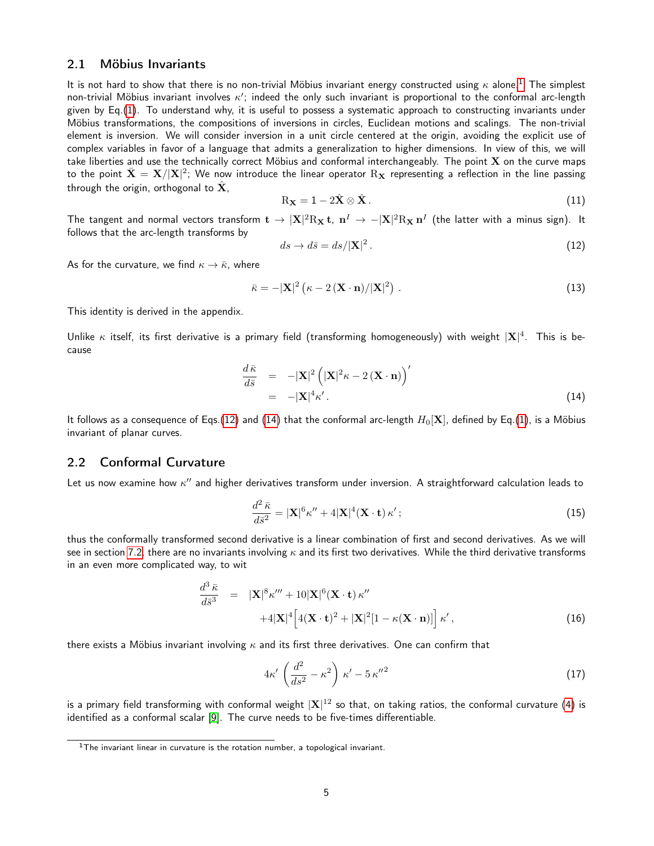#### <span id="page-4-5"></span>2.1 Möbius Invariants

It is not hard to show that there is no non-trivial Möbius invariant energy constructed using  $\kappa$  alone.<sup>[1](#page-4-0)</sup> The simplest non-trivial Möbius invariant involves  $\kappa'$ ; indeed the only such invariant is proportional to the conformal arc-length given by Eq.[\(1\)](#page-1-1). To understand why, it is useful to possess a systematic approach to constructing invariants under Möbius transformations, the compositions of inversions in circles, Euclidean motions and scalings. The non-trivial element is inversion. We will consider inversion in a unit circle centered at the origin, avoiding the explicit use of complex variables in favor of a language that admits a generalization to higher dimensions. In view of this, we will take liberties and use the technically correct Möbius and conformal interchangeably. The point  $X$  on the curve maps to the point  $\bar{\bf X}={\bf X}/{\bf |X|^2};$  We now introduce the linear operator  $\rm R_{\bf X}$  representing a reflection in the line passing through the origin, orthogonal to  $\hat{\mathbf{X}}$ ,

<span id="page-4-4"></span>
$$
R_{\mathbf{X}} = 1 - 2\hat{\mathbf{X}} \otimes \hat{\mathbf{X}}.
$$
 (11)

The tangent and normal vectors transform  $\bf t\to |X|^2R_X\bf t$ ,  $\bf n^I\to -|X|^2R_X\bf n^I$  (the latter with a minus sign). It follows that the arc-length transforms by

<span id="page-4-1"></span>
$$
ds \to d\bar{s} = ds/|\mathbf{X}|^2. \tag{12}
$$

As for the curvature, we find  $\kappa \to \bar{\kappa}$ , where

<span id="page-4-6"></span>
$$
\bar{\kappa} = -|\mathbf{X}|^2 \left( \kappa - 2 \left( \mathbf{X} \cdot \mathbf{n} \right) / |\mathbf{X}|^2 \right) . \tag{13}
$$

This identity is derived in the appendix.

Unlike  $\kappa$  itself, its first derivative is a primary field (transforming homogeneously) with weight  $|X|^4$ . This is because

<span id="page-4-2"></span>
$$
\frac{d\bar{\kappa}}{d\bar{s}} = -|\mathbf{X}|^2 \left( |\mathbf{X}|^2 \kappa - 2 (\mathbf{X} \cdot \mathbf{n}) \right)'
$$
  
= -|\mathbf{X}|^4 \kappa'. (14)

It follows as a consequence of Eqs.[\(12\)](#page-4-1) and [\(14\)](#page-4-2) that the conformal arc-length  $H_0[\mathbf{X}]$ , defined by Eq.[\(1\)](#page-1-1), is a Möbius invariant of planar curves.

#### <span id="page-4-3"></span>2.2 Conformal Curvature

Let us now examine how  $\kappa''$  and higher derivatives transform under inversion. A straightforward calculation leads to

$$
\frac{d^2 \bar{\kappa}}{d\bar{s}^2} = |\mathbf{X}|^6 \kappa'' + 4|\mathbf{X}|^4 (\mathbf{X} \cdot \mathbf{t}) \kappa';\tag{15}
$$

thus the conformally transformed second derivative is a linear combination of first and second derivatives. As we will see in section [7.2,](#page-11-0) there are no invariants involving  $\kappa$  and its first two derivatives. While the third derivative transforms in an even more complicated way, to wit

$$
\frac{d^3 \bar{\kappa}}{d\bar{s}^3} = |\mathbf{X}|^8 \kappa''' + 10|\mathbf{X}|^6 (\mathbf{X} \cdot \mathbf{t}) \kappa''
$$
  
+4|\mathbf{X}|^4 \Big[ 4(\mathbf{X} \cdot \mathbf{t})^2 + |\mathbf{X}|^2 [1 - \kappa (\mathbf{X} \cdot \mathbf{n})] \Big] \kappa', \t(16)

there exists a Möbius invariant involving  $\kappa$  and its first three derivatives. One can confirm that

$$
4\kappa' \left(\frac{d^2}{ds^2} - \kappa^2\right) \kappa' - 5\kappa''^2 \tag{17}
$$

is a primary field transforming with conformal weight  $|{\bf X}|^{12}$  so that, on taking ratios, the conformal curvature [\(4\)](#page-2-1) is identified as a conformal scalar [\[9\]](#page-23-2). The curve needs to be five-times differentiable.

<span id="page-4-0"></span><sup>&</sup>lt;sup>1</sup>The invariant linear in curvature is the rotation number, a topological invariant.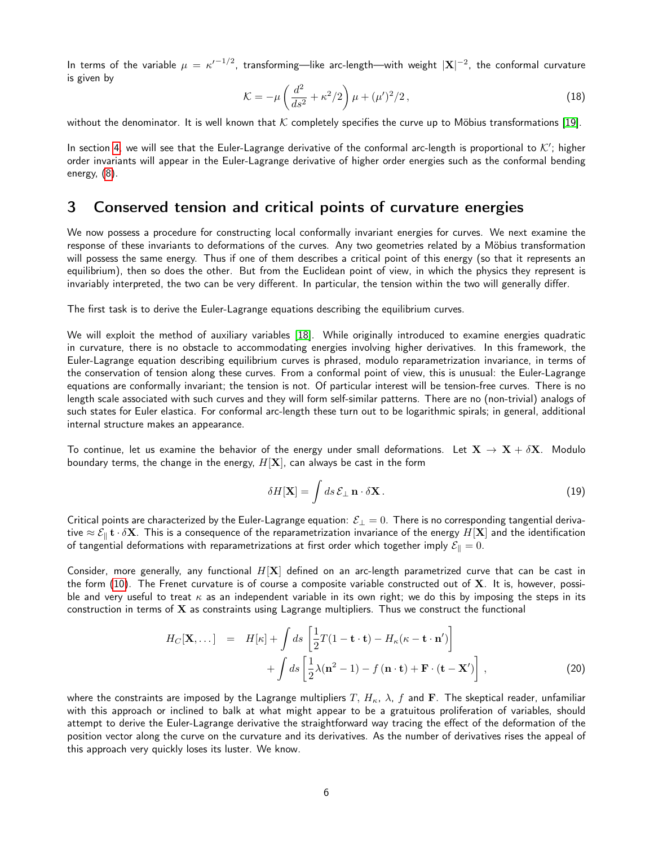In terms of the variable  $\mu=\kappa'^{-1/2}$ , transforming—like arc-length—with weight  $|{\bf X}|^{-2}$ , the conformal curvature is given by

<span id="page-5-0"></span>
$$
\mathcal{K} = -\mu \left( \frac{d^2}{ds^2} + \kappa^2 / 2 \right) \mu + (\mu')^2 / 2, \qquad (18)
$$

without the denominator. It is well known that  $K$  completely specifies the curve up to Möbius transformations [\[19\]](#page-23-12).

In section [4,](#page-7-0) we will see that the Euler-Lagrange derivative of the conformal arc-length is proportional to  $K'$ ; higher order invariants will appear in the Euler-Lagrange derivative of higher order energies such as the conformal bending energy, [\(8\)](#page-3-0).

### <span id="page-5-1"></span>3 Conserved tension and critical points of curvature energies

We now possess a procedure for constructing local conformally invariant energies for curves. We next examine the response of these invariants to deformations of the curves. Any two geometries related by a Möbius transformation will possess the same energy. Thus if one of them describes a critical point of this energy (so that it represents an equilibrium), then so does the other. But from the Euclidean point of view, in which the physics they represent is invariably interpreted, the two can be very different. In particular, the tension within the two will generally differ.

The first task is to derive the Euler-Lagrange equations describing the equilibrium curves.

We will exploit the method of auxiliary variables [\[18\]](#page-23-11). While originally introduced to examine energies quadratic in curvature, there is no obstacle to accommodating energies involving higher derivatives. In this framework, the Euler-Lagrange equation describing equilibrium curves is phrased, modulo reparametrization invariance, in terms of the conservation of tension along these curves. From a conformal point of view, this is unusual: the Euler-Lagrange equations are conformally invariant; the tension is not. Of particular interest will be tension-free curves. There is no length scale associated with such curves and they will form self-similar patterns. There are no (non-trivial) analogs of such states for Euler elastica. For conformal arc-length these turn out to be logarithmic spirals; in general, additional internal structure makes an appearance.

To continue, let us examine the behavior of the energy under small deformations. Let  $X \to X + \delta X$ . Modulo boundary terms, the change in the energy,  $H[X]$ , can always be cast in the form

<span id="page-5-3"></span>
$$
\delta H[\mathbf{X}] = \int ds \, \mathcal{E}_{\perp} \, \mathbf{n} \cdot \delta \mathbf{X} \,. \tag{19}
$$

Critical points are characterized by the Euler-Lagrange equation:  $\mathcal{E}_\perp=0$ . There is no corresponding tangential derivative  $\approx \mathcal{E}_{\parallel}$  t  $\cdot \delta X$ . This is a consequence of the reparametrization invariance of the energy  $H[X]$  and the identification of tangential deformations with reparametrizations at first order which together imply  $\mathcal{E}_{\parallel} = 0$ .

Consider, more generally, any functional  $H[X]$  defined on an arc-length parametrized curve that can be cast in the form  $(10)$ . The Frenet curvature is of course a composite variable constructed out of  $X$ . It is, however, possible and very useful to treat  $\kappa$  as an independent variable in its own right; we do this by imposing the steps in its construction in terms of  $X$  as constraints using Lagrange multipliers. Thus we construct the functional

<span id="page-5-2"></span>
$$
H_C[\mathbf{X},\dots] = H[\kappa] + \int ds \left[ \frac{1}{2} T(1 - \mathbf{t} \cdot \mathbf{t}) - H_\kappa(\kappa - \mathbf{t} \cdot \mathbf{n}') \right] + \int ds \left[ \frac{1}{2} \lambda (\mathbf{n}^2 - 1) - f(\mathbf{n} \cdot \mathbf{t}) + \mathbf{F} \cdot (\mathbf{t} - \mathbf{X}') \right],
$$
(20)

where the constraints are imposed by the Lagrange multipliers T,  $H_{\kappa}$ ,  $\lambda$ , f and F. The skeptical reader, unfamiliar with this approach or inclined to balk at what might appear to be a gratuitous proliferation of variables, should attempt to derive the Euler-Lagrange derivative the straightforward way tracing the effect of the deformation of the position vector along the curve on the curvature and its derivatives. As the number of derivatives rises the appeal of this approach very quickly loses its luster. We know.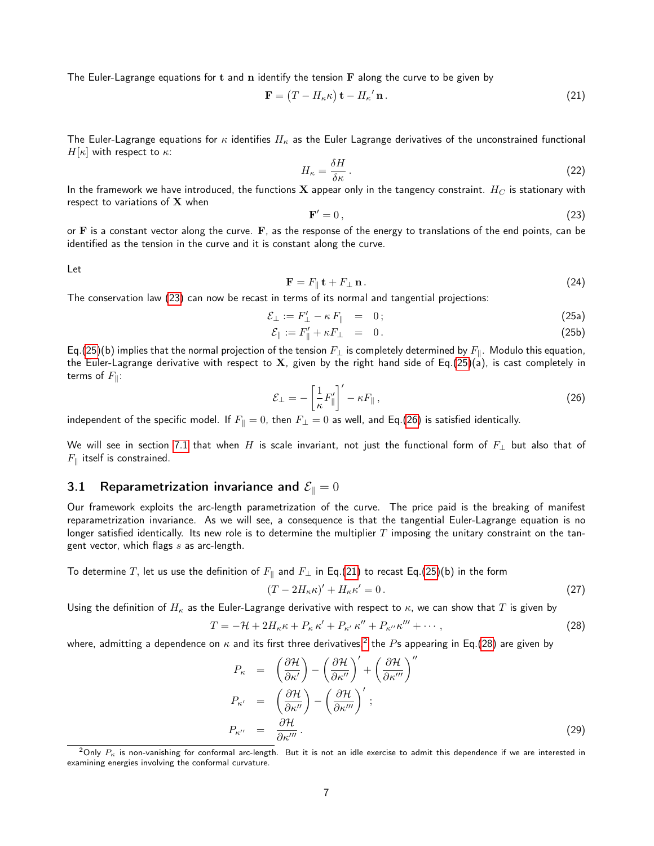The Euler-Lagrange equations for t and  $n$  identify the tension  $\bf{F}$  along the curve to be given by

<span id="page-6-3"></span>
$$
\mathbf{F} = (T - H_{\kappa} \kappa) \mathbf{t} - H_{\kappa}' \mathbf{n}.
$$
 (21)

The Euler-Lagrange equations for  $\kappa$  identifies  $H_\kappa$  as the Euler Lagrange derivatives of the unconstrained functional  $H[\kappa]$  with respect to  $\kappa$ :

$$
H_{\kappa} = \frac{\delta H}{\delta \kappa} \,. \tag{22}
$$

In the framework we have introduced, the functions  $X$  appear only in the tangency constraint.  $H_C$  is stationary with respect to variations of  $X$  when

<span id="page-6-1"></span><span id="page-6-0"></span>
$$
\mathbf{F}' = 0\,,\tag{23}
$$

or  $\bf{F}$  is a constant vector along the curve.  $\bf{F}$ , as the response of the energy to translations of the end points, can be identified as the tension in the curve and it is constant along the curve.

Let

<span id="page-6-9"></span>
$$
\mathbf{F} = F_{\parallel} \mathbf{t} + F_{\perp} \mathbf{n} \,. \tag{24}
$$

The conservation law [\(23\)](#page-6-0) can now be recast in terms of its normal and tangential projections:

$$
\mathcal{E}_{\perp} := F'_{\perp} - \kappa F_{\parallel} = 0; \tag{25a}
$$

$$
\mathcal{E}_{\parallel} := F_{\parallel}' + \kappa F_{\perp} = 0. \tag{25b}
$$

Eq.[\(25\)](#page-6-1)(b) implies that the normal projection of the tension  $F_{\perp}$  is completely determined by  $F_{\parallel}$ . Modulo this equation, the Euler-Lagrange derivative with respect to X, given by the right hand side of Eq.[\(25\)](#page-6-1)(a), is cast completely in terms of  $F_{\parallel}$ :

<span id="page-6-2"></span>
$$
\mathcal{E}_{\perp} = -\left[\frac{1}{\kappa}F_{\parallel}'\right]' - \kappa F_{\parallel}\,,\tag{26}
$$

independent of the specific model. If  $F_{\parallel} = 0$ , then  $F_{\perp} = 0$  as well, and Eq.[\(26\)](#page-6-2) is satisfied identically.

We will see in section [7.1](#page-10-0) that when H is scale invariant, not just the functional form of  $F_{\perp}$  but also that of  $F_{\rm \parallel}$  itself is constrained.

### <span id="page-6-6"></span>3.1 Reparametrization invariance and  $\mathcal{E}_{\parallel} = 0$

Our framework exploits the arc-length parametrization of the curve. The price paid is the breaking of manifest reparametrization invariance. As we will see, a consequence is that the tangential Euler-Lagrange equation is no longer satisfied identically. Its new role is to determine the multiplier  $T$  imposing the unitary constraint on the tangent vector, which flags  $s$  as arc-length.

To determine T, let us use the definition of  $F_{\parallel}$  and  $F_{\perp}$  in Eq.[\(21\)](#page-6-3) to recast Eq.[\(25\)](#page-6-1)(b) in the form

<span id="page-6-8"></span>
$$
(T - 2H_{\kappa}\kappa)' + H_{\kappa}\kappa' = 0.
$$
\n(27)

Using the definition of  $H_\kappa$  as the Euler-Lagrange derivative with respect to  $\kappa$ , we can show that T is given by

<span id="page-6-5"></span>
$$
T = -\mathcal{H} + 2H_{\kappa}\kappa + P_{\kappa}\kappa' + P_{\kappa'}\kappa'' + P_{\kappa''}\kappa''' + \cdots, \qquad (28)
$$

where, admitting a dependence on  $\kappa$  and its first three derivatives, $^2$  $^2$  the  $P$ s appearing in Eq.[\(28\)](#page-6-5) are given by

<span id="page-6-7"></span>
$$
P_{\kappa} = \left(\frac{\partial \mathcal{H}}{\partial \kappa'}\right) - \left(\frac{\partial \mathcal{H}}{\partial \kappa''}\right)' + \left(\frac{\partial \mathcal{H}}{\partial \kappa'''}\right)''
$$
  
\n
$$
P_{\kappa'} = \left(\frac{\partial \mathcal{H}}{\partial \kappa''}\right) - \left(\frac{\partial \mathcal{H}}{\partial \kappa'''}\right)',
$$
  
\n
$$
P_{\kappa''} = \frac{\partial \mathcal{H}}{\partial \kappa'''}.
$$
\n(29)

<span id="page-6-4"></span> $2$ Only  $P_{\kappa}$  is non-vanishing for conformal arc-length. But it is not an idle exercise to admit this dependence if we are interested in examining energies involving the conformal curvature.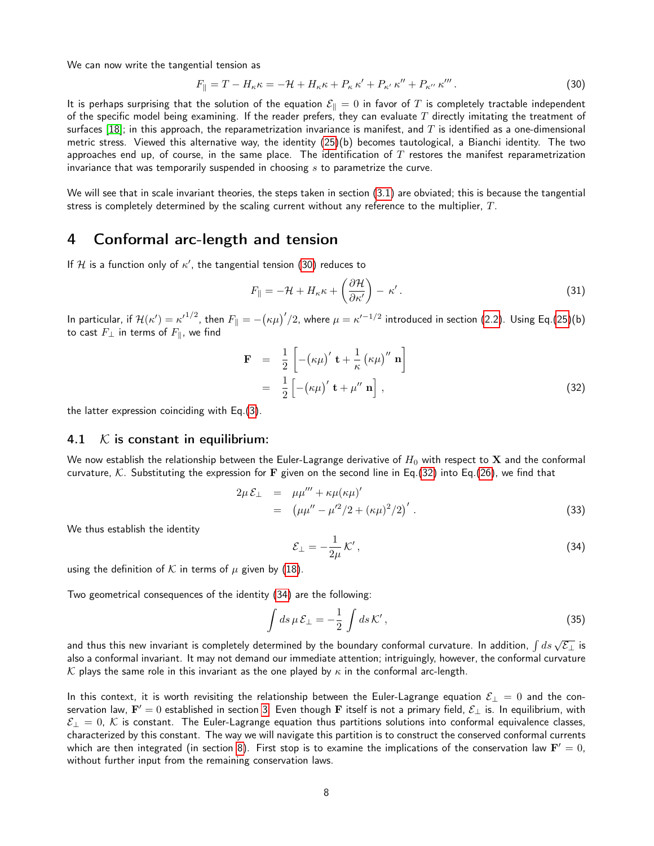We can now write the tangential tension as

<span id="page-7-1"></span>
$$
F_{\parallel} = T - H_{\kappa}\kappa = -\mathcal{H} + H_{\kappa}\kappa + P_{\kappa}\kappa' + P_{\kappa'}\kappa'' + P_{\kappa''}\kappa'''.
$$
\n
$$
(30)
$$

It is perhaps surprising that the solution of the equation  $\mathcal{E}_{\parallel}=0$  in favor of  $T$  is completely tractable independent of the specific model being examining. If the reader prefers, they can evaluate  $T$  directly imitating the treatment of surfaces [\[18\]](#page-23-11); in this approach, the reparametrization invariance is manifest, and T is identified as a one-dimensional metric stress. Viewed this alternative way, the identity [\(25\)](#page-6-1)(b) becomes tautological, a Bianchi identity. The two approaches end up, of course, in the same place. The identification of  $T$  restores the manifest reparametrization invariance that was temporarily suspended in choosing  $s$  to parametrize the curve.

We will see that in scale invariant theories, the steps taken in section [\(3.1\)](#page-6-6) are obviated; this is because the tangential stress is completely determined by the scaling current without any reference to the multiplier,  $T$ .

## <span id="page-7-0"></span>4 Conformal arc-length and tension

If H is a function only of  $\kappa'$ , the tangential tension [\(30\)](#page-7-1) reduces to

$$
F_{\parallel} = -\mathcal{H} + H_{\kappa} \kappa + \left(\frac{\partial \mathcal{H}}{\partial \kappa'}\right) - \kappa'.
$$
 (31)

In particular, if  $\mathcal{H}(\kappa')=\kappa'^{1/2}$ , then  $F_{\parallel}=-\big(\kappa\mu\big)'/2$ , where  $\mu=\kappa'^{-1/2}$  introduced in section [\(2.2\)](#page-4-3). Using Eq.[\(25\)](#page-6-1)(b) to cast  $F_{\perp}$  in terms of  $F_{\parallel}$ , we find

<span id="page-7-2"></span>
$$
\mathbf{F} = \frac{1}{2} \left[ -(\kappa \mu)' \mathbf{t} + \frac{1}{\kappa} (\kappa \mu)'' \mathbf{n} \right]
$$
  
=  $\frac{1}{2} \left[ -(\kappa \mu)' \mathbf{t} + \mu'' \mathbf{n} \right],$  (32)

the latter expression coinciding with Eq.[\(3\)](#page-2-2).

#### 4.1  $\mathcal K$  is constant in equilibrium:

We now establish the relationship between the Euler-Lagrange derivative of  $H_0$  with respect to X and the conformal curvature, K. Substituting the expression for F given on the second line in Eq.[\(32\)](#page-7-2) into Eq.[\(26\)](#page-6-2), we find that

$$
2\mu \mathcal{E}_{\perp} = \mu \mu''' + \kappa \mu (\kappa \mu)'
$$
  
=  $(\mu \mu'' - \mu'^2 / 2 + (\kappa \mu)^2 / 2)'$ . (33)

We thus establish the identity

<span id="page-7-3"></span>
$$
\mathcal{E}_{\perp} = -\frac{1}{2\mu} \mathcal{K}',\tag{34}
$$

using the definition of K in terms of  $\mu$  given by [\(18\)](#page-5-0).

Two geometrical consequences of the identity [\(34\)](#page-7-3) are the following:

$$
\int ds \,\mu \, \mathcal{E}_{\perp} = -\frac{1}{2} \int ds \,\mathcal{K}' \,, \tag{35}
$$

and thus this new invariant is completely determined by the boundary conformal curvature. In addition,  $\int ds \, \sqrt{\mathcal{E}_{\perp}}$  is also a conformal invariant. It may not demand our immediate attention; intriguingly, however, the conformal curvature K plays the same role in this invariant as the one played by  $\kappa$  in the conformal arc-length.

In this context, it is worth revisiting the relationship between the Euler-Lagrange equation  $\mathcal{E}_\perp = 0$  and the conservation law,  ${\bf F}'=0$  established in section [3.](#page-5-1) Even though  $\bf F$  itself is not a primary field,  ${\cal E}_\perp$  is. In equilibrium, with  $\mathcal{E}_\perp=0$ ,  $\mathcal K$  is constant. The Euler-Lagrange equation thus partitions solutions into conformal equivalence classes, characterized by this constant. The way we will navigate this partition is to construct the conserved conformal currents which are then integrated (in section [8\)](#page-12-1). First stop is to examine the implications of the conservation law  ${\bf F}'=0,$ without further input from the remaining conservation laws.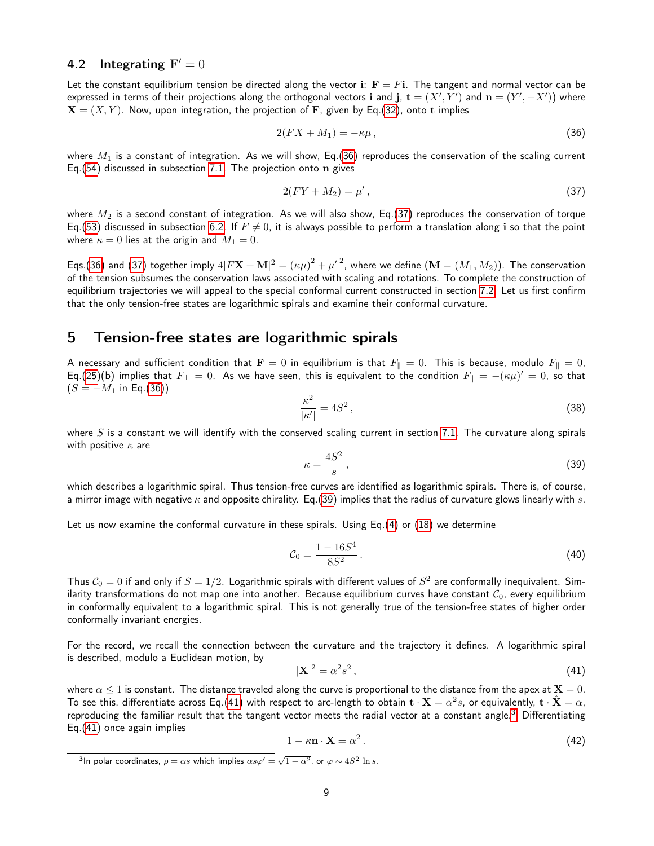### <span id="page-8-8"></span>4.2 Integrating  $\mathbf{F}' = 0$

Let the constant equilibrium tension be directed along the vector i:  $\mathbf{F} = F\mathbf{i}$ . The tangent and normal vector can be expressed in terms of their projections along the orthogonal vectors  ${\bf i}$  and  ${\bf j}$ ,  ${\bf t}=(X',Y')$  and  ${\bf n}=(Y',-X')$  where  $X = (X, Y)$ . Now, upon integration, the projection of F, given by Eq.[\(32\)](#page-7-2), onto t implies

<span id="page-8-0"></span>
$$
2(FX + M_1) = -\kappa \mu \,,\tag{36}
$$

where  $M_1$  is a constant of integration. As we will show, Eq.[\(36\)](#page-8-0) reproduces the conservation of the scaling current Eq.[\(54\)](#page-10-1) discussed in subsection [7.1.](#page-10-0) The projection onto  $n$  gives

<span id="page-8-1"></span>
$$
2(FY + M_2) = \mu',\tag{37}
$$

where  $M_2$  is a second constant of integration. As we will also show, Eq.[\(37\)](#page-8-1) reproduces the conservation of torque Eq.[\(53\)](#page-10-2) discussed in subsection [6.2.](#page-10-3) If  $F \neq 0$ , it is always possible to perform a translation along i so that the point where  $\kappa = 0$  lies at the origin and  $M_1 = 0$ .

Eqs.[\(36\)](#page-8-0) and [\(37\)](#page-8-1) together imply  $4|F\mathbf{X}+\mathbf{M}|^2={(\kappa\mu)}^2+{\mu'}^2$ , where we define  $(\mathbf{M}=(M_1,M_2)).$  The conservation of the tension subsumes the conservation laws associated with scaling and rotations. To complete the construction of equilibrium trajectories we will appeal to the special conformal current constructed in section [7.2.](#page-11-0) Let us first confirm that the only tension-free states are logarithmic spirals and examine their conformal curvature.

### <span id="page-8-6"></span>5 Tension-free states are logarithmic spirals

A necessary and sufficient condition that  $\mathbf{F}=0$  in equilibrium is that  $F_{\parallel}=0$ . This is because, modulo  $F_{\parallel}=0$ , Eq.[\(25\)](#page-6-1)(b) implies that  $F_{\perp} = 0$ . As we have seen, this is equivalent to the condition  $F_{\parallel} = -(\kappa \mu)' = 0$ , so that  $(S = -M_1$  in Eq.[\(36\)](#page-8-0))

<span id="page-8-5"></span>
$$
\frac{\kappa^2}{|\kappa'|} = 4S^2\,,\tag{38}
$$

where  $S$  is a constant we will identify with the conserved scaling current in section [7.1.](#page-10-0) The curvature along spirals with positive  $\kappa$  are

<span id="page-8-2"></span>
$$
\kappa = \frac{4S^2}{s},\tag{39}
$$

which describes a logarithmic spiral. Thus tension-free curves are identified as logarithmic spirals. There is, of course, a mirror image with negative  $\kappa$  and opposite chirality. Eq.[\(39\)](#page-8-2) implies that the radius of curvature glows linearly with s.

Let us now examine the conformal curvature in these spirals. Using Eq.[\(4\)](#page-2-1) or [\(18\)](#page-5-0) we determine

<span id="page-8-7"></span>
$$
C_0 = \frac{1 - 16S^4}{8S^2} \,. \tag{40}
$$

Thus  $C_0 = 0$  if and only if  $S = 1/2$ . Logarithmic spirals with different values of  $S^2$  are conformally inequivalent. Similarity transformations do not map one into another. Because equilibrium curves have constant  $C_0$ , every equilibrium in conformally equivalent to a logarithmic spiral. This is not generally true of the tension-free states of higher order conformally invariant energies.

For the record, we recall the connection between the curvature and the trajectory it defines. A logarithmic spiral is described, modulo a Euclidean motion, by

<span id="page-8-3"></span>
$$
|\mathbf{X}|^2 = \alpha^2 s^2 \,,\tag{41}
$$

where  $\alpha \le 1$  is constant. The distance traveled along the curve is proportional to the distance from the apex at  $\mathbf{X} = 0$ . To see this, differentiate across Eq.[\(41\)](#page-8-3) with respect to arc-length to obtain  ${\bf t}\cdot{\bf X}=\alpha^2s$ , or equivalently,  ${\bf t}\cdot\hat{\bf X}=\alpha,$ reproducing the familiar result that the tangent vector meets the radial vector at a constant angle.<sup>[3](#page-8-4)</sup> Differentiating Eq.[\(41\)](#page-8-3) once again implies

$$
1 - \kappa \mathbf{n} \cdot \mathbf{X} = \alpha^2 \,. \tag{42}
$$

<span id="page-8-4"></span><sup>3</sup>In polar coordinates,  $\rho = \alpha s$  which implies  $\alpha s \varphi' = \sqrt{1 - \alpha^2}$ , or  $\varphi \sim 4S^2$  ln s.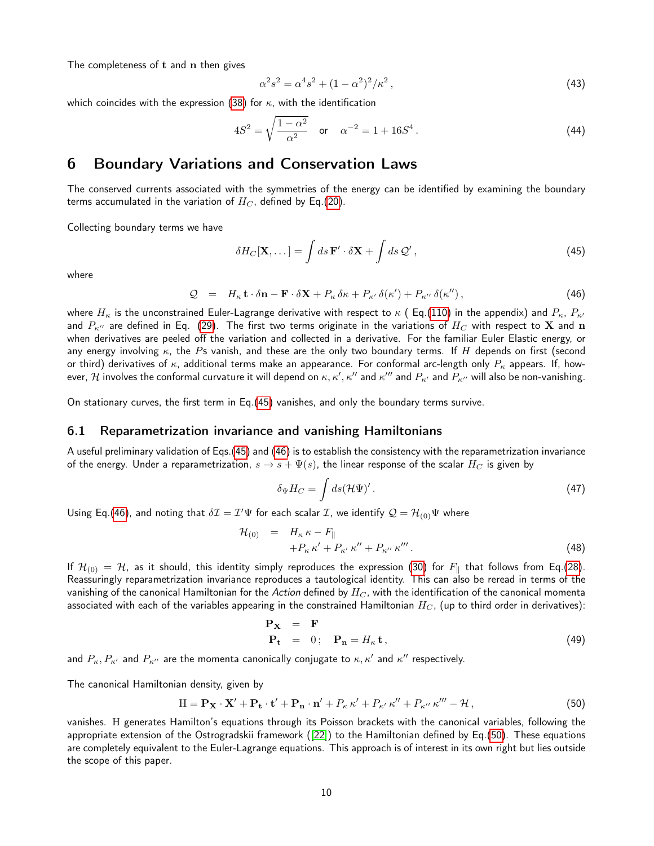The completeness of  $t$  and  $n$  then gives

$$
\alpha^2 s^2 = \alpha^4 s^2 + (1 - \alpha^2)^2 / \kappa^2 \,,\tag{43}
$$

which coincides with the expression [\(38\)](#page-8-5) for  $\kappa$ , with the identification

<span id="page-9-3"></span>
$$
4S^{2} = \sqrt{\frac{1 - \alpha^{2}}{\alpha^{2}}} \quad \text{or} \quad \alpha^{-2} = 1 + 16S^{4} \,. \tag{44}
$$

### 6 Boundary Variations and Conservation Laws

The conserved currents associated with the symmetries of the energy can be identified by examining the boundary terms accumulated in the variation of  $H_C$ , defined by Eq.[\(20\)](#page-5-2).

Collecting boundary terms we have

<span id="page-9-0"></span>
$$
\delta H_C[\mathbf{X},\dots] = \int ds \, \mathbf{F}' \cdot \delta \mathbf{X} + \int ds \, \mathcal{Q}'\,,\tag{45}
$$

where

<span id="page-9-1"></span>
$$
Q = H_{\kappa} \mathbf{t} \cdot \delta \mathbf{n} - \mathbf{F} \cdot \delta \mathbf{X} + P_{\kappa} \delta \kappa + P_{\kappa'} \delta(\kappa') + P_{\kappa''} \delta(\kappa''), \qquad (46)
$$

where  $H_{\kappa}$  is the unconstrained Euler-Lagrange derivative with respect to  $\kappa$  (Eq.[\(110\)](#page-20-0) in the appendix) and  $P_{\kappa}$ ,  $P_{\kappa'}$ and  $P_{\kappa}$  are defined in Eq. [\(29\)](#page-6-7). The first two terms originate in the variations of  $H_C$  with respect to **X** and **n** when derivatives are peeled off the variation and collected in a derivative. For the familiar Euler Elastic energy, or any energy involving  $\kappa$ , the Ps vanish, and these are the only two boundary terms. If H depends on first (second or third) derivatives of  $\kappa$ , additional terms make an appearance. For conformal arc-length only  $P_{\kappa}$  appears. If, however,  $\cal H$  involves the conformal curvature it will depend on  $\kappa,\kappa',\kappa''$  and  $\kappa''$  and  $P_{\kappa'}$  and  $P_{\kappa''}$  will also be non-vanishing.

On stationary curves, the first term in Eq.[\(45\)](#page-9-0) vanishes, and only the boundary terms survive.

#### 6.1 Reparametrization invariance and vanishing Hamiltonians

A useful preliminary validation of Eqs.[\(45\)](#page-9-0) and [\(46\)](#page-9-1) is to establish the consistency with the reparametrization invariance of the energy. Under a reparametrization,  $s \to s + \Psi(s)$ , the linear response of the scalar  $H_C$  is given by

$$
\delta_{\Psi} H_C = \int ds (\mathcal{H}\Psi)' \,. \tag{47}
$$

Using Eq.[\(46\)](#page-9-1), and noting that  $\delta \mathcal{I} = \mathcal{I}' \Psi$  for each scalar  $\mathcal{I}$ , we identify  $\mathcal{Q} = \mathcal{H}_{(0)} \Psi$  where

$$
\mathcal{H}_{(0)} = H_{\kappa} \kappa - F_{\parallel} \n+ P_{\kappa} \kappa' + P_{\kappa'} \kappa'' + P_{\kappa''} \kappa'''.
$$
\n(48)

If  $\mathcal{H}_{(0)} = \mathcal{H}$ , as it should, this identity simply reproduces the expression [\(30\)](#page-7-1) for  $F_{\parallel}$  that follows from Eq.[\(28\)](#page-6-5). Reassuringly reparametrization invariance reproduces a tautological identity. This can also be reread in terms of the vanishing of the canonical Hamiltonian for the Action defined by  $H_C$ , with the identification of the canonical momenta associated with each of the variables appearing in the constrained Hamiltonian  $H_C$ , (up to third order in derivatives):

$$
\begin{array}{rcl}\n\mathbf{P_X} & = & \mathbf{F} \\
\mathbf{P_t} & = & 0; \quad \mathbf{P_n} = H_\kappa \mathbf{t}\n\end{array} \tag{49}
$$

and  $P_\kappa, P_{\kappa'}$  and  $P_{\kappa''}$  are the momenta canonically conjugate to  $\kappa, \kappa'$  and  $\kappa''$  respectively.

The canonical Hamiltonian density, given by

<span id="page-9-2"></span>
$$
\mathbf{H} = \mathbf{P}_{\mathbf{X}} \cdot \mathbf{X}' + \mathbf{P}_{\mathbf{t}} \cdot \mathbf{t}' + \mathbf{P}_{\mathbf{n}} \cdot \mathbf{n}' + P_{\kappa} \kappa' + P_{\kappa'} \kappa'' + P_{\kappa''} \kappa''' - \mathcal{H},\tag{50}
$$

vanishes. H generates Hamilton's equations through its Poisson brackets with the canonical variables, following the appropriate extension of the Ostrogradskii framework ([\[22\]](#page-23-13)) to the Hamiltonian defined by Eq.[\(50\)](#page-9-2). These equations are completely equivalent to the Euler-Lagrange equations. This approach is of interest in its own right but lies outside the scope of this paper.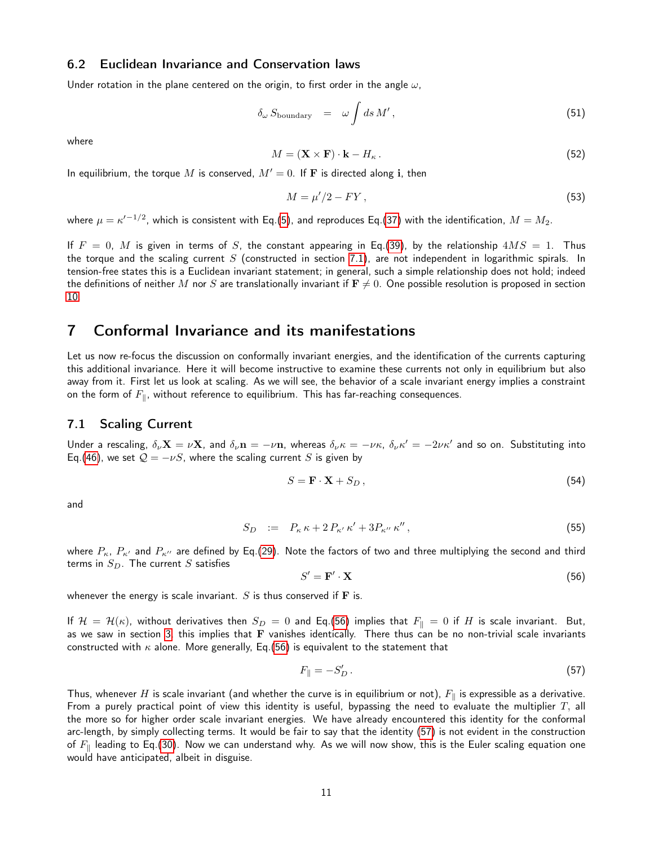#### <span id="page-10-3"></span>6.2 Euclidean Invariance and Conservation laws

Under rotation in the plane centered on the origin, to first order in the angle  $\omega$ ,

$$
\delta_{\omega} S_{\text{boundary}} = \omega \int ds \, M', \tag{51}
$$

where

<span id="page-10-7"></span>
$$
M = (\mathbf{X} \times \mathbf{F}) \cdot \mathbf{k} - H_{\kappa} \,. \tag{52}
$$

In equilibrium, the torque M is conserved,  $M' = 0$ . If F is directed along i, then

<span id="page-10-2"></span>
$$
M = \mu'/2 - FY \,,\tag{53}
$$

where  $\mu=\kappa'^{-1/2}$ , which is consistent with Eq.[\(5\)](#page-2-3), and reproduces Eq.[\(37\)](#page-8-1) with the identification,  $M=M_2.$ 

If  $F = 0$ , M is given in terms of S, the constant appearing in Eq.[\(39\)](#page-8-2), by the relationship  $4MS = 1$ . Thus the torque and the scaling current  $S$  (constructed in section [7.1\)](#page-10-0), are not independent in logarithmic spirals. In tension-free states this is a Euclidean invariant statement; in general, such a simple relationship does not hold; indeed the definitions of neither M nor S are translationally invariant if  $\mathbf{F} \neq 0$ . One possible resolution is proposed in section [10.](#page-14-0)

### 7 Conformal Invariance and its manifestations

Let us now re-focus the discussion on conformally invariant energies, and the identification of the currents capturing this additional invariance. Here it will become instructive to examine these currents not only in equilibrium but also away from it. First let us look at scaling. As we will see, the behavior of a scale invariant energy implies a constraint on the form of  $F_{\parallel}$ , without reference to equilibrium. This has far-reaching consequences.

#### <span id="page-10-0"></span>7.1 Scaling Current

Under a rescaling,  $\delta_\nu \mathbf{X} = \nu \mathbf{X}$ , and  $\delta_\nu \mathbf{n} = -\nu \mathbf{n}$ , whereas  $\delta_\nu \kappa = -\nu \kappa$ ,  $\delta_\nu \kappa' = -2\nu \kappa'$  and so on. Substituting into Eq.[\(46\)](#page-9-1), we set  $Q = -\nu S$ , where the scaling current S is given by

<span id="page-10-1"></span>
$$
S = \mathbf{F} \cdot \mathbf{X} + S_D \,,\tag{54}
$$

and

<span id="page-10-6"></span>
$$
S_D \quad := \quad P_{\kappa} \kappa + 2 \, P_{\kappa'} \, \kappa' + 3 P_{\kappa''} \, \kappa'' \,, \tag{55}
$$

where  $P_{\kappa}$ ,  $P_{\kappa}$  and  $P_{\kappa}$  are defined by Eq.[\(29\)](#page-6-7). Note the factors of two and three multiplying the second and third terms in  $S_D$ . The current  $S$  satisfies

<span id="page-10-4"></span>
$$
S' = \mathbf{F}' \cdot \mathbf{X} \tag{56}
$$

whenever the energy is scale invariant.  $S$  is thus conserved if  $\mathbf F$  is.

If  $\mathcal{H} = \mathcal{H}(\kappa)$ , without derivatives then  $S_D = 0$  and Eq.[\(56\)](#page-10-4) implies that  $F_{\parallel} = 0$  if H is scale invariant. But, as we saw in section [3,](#page-5-1) this implies that  $F$  vanishes identically. There thus can be no non-trivial scale invariants constructed with  $\kappa$  alone. More generally, Eq.[\(56\)](#page-10-4) is equivalent to the statement that

<span id="page-10-5"></span>
$$
F_{\parallel} = -S'_{D} \,. \tag{57}
$$

Thus, whenever H is scale invariant (and whether the curve is in equilibrium or not),  $F_{\parallel}$  is expressible as a derivative. From a purely practical point of view this identity is useful, bypassing the need to evaluate the multiplier  $T$ , all the more so for higher order scale invariant energies. We have already encountered this identity for the conformal arc-length, by simply collecting terms. It would be fair to say that the identity [\(57\)](#page-10-5) is not evident in the construction of  $F_{\parallel}$  leading to Eq.[\(30\)](#page-7-1). Now we can understand why. As we will now show, this is the Euler scaling equation one would have anticipated, albeit in disguise.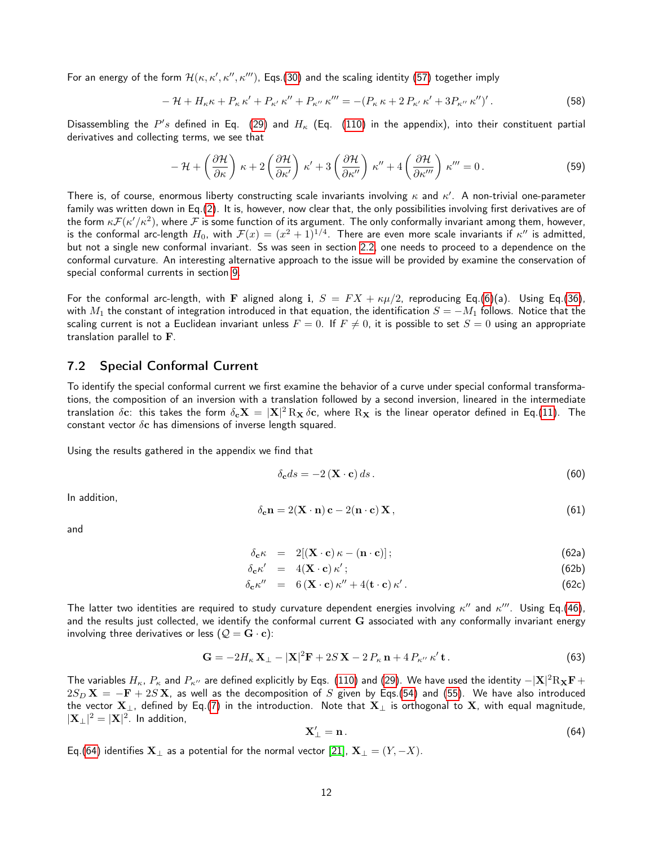For an energy of the form  $\mathcal{H}(\kappa,\kappa',\kappa'',\kappa''')$ , Eqs.[\(30\)](#page-7-1) and the scaling identity [\(57\)](#page-10-5) together imply

$$
- \mathcal{H} + H_{\kappa} \kappa + P_{\kappa} \kappa' + P_{\kappa'} \kappa'' + P_{\kappa''} \kappa''' = -(P_{\kappa} \kappa + 2 P_{\kappa'} \kappa' + 3 P_{\kappa''} \kappa'')'.
$$
 (58)

Disassembling the  $P's$  defined in Eq. [\(29\)](#page-6-7) and  $H_{\kappa}$  (Eq. [\(110\)](#page-20-0) in the appendix), into their constituent partial derivatives and collecting terms, we see that

<span id="page-11-3"></span>
$$
-\mathcal{H} + \left(\frac{\partial \mathcal{H}}{\partial \kappa}\right) \kappa + 2 \left(\frac{\partial \mathcal{H}}{\partial \kappa'}\right) \kappa' + 3 \left(\frac{\partial \mathcal{H}}{\partial \kappa''}\right) \kappa'' + 4 \left(\frac{\partial \mathcal{H}}{\partial \kappa'''}\right) \kappa''' = 0.
$$
 (59)

There is, of course, enormous liberty constructing scale invariants involving  $\kappa$  and  $\kappa'$ . A non-trivial one-parameter family was written down in Eq.[\(2\)](#page-1-2). It is, however, now clear that, the only possibilities involving first derivatives are of the form  $\kappa F(\kappa'/\kappa^2)$ , where  $F$  is some function of its argument. The only conformally invariant among them, however, is the conformal arc-length  $H_0$ , with  ${\cal F}(x)=(x^2+1)^{1/4}.$  There are even more scale invariants if  $\kappa''$  is admitted, but not a single new conformal invariant. Ss was seen in section [2.2,](#page-4-3) one needs to proceed to a dependence on the conformal curvature. An interesting alternative approach to the issue will be provided by examine the conservation of special conformal currents in section [9.](#page-14-1)

For the conformal arc-length, with F aligned along i,  $S = FX + \kappa\mu/2$ , reproducing Eq.[\(6\)](#page-2-4)(a). Using Eq.[\(36\)](#page-8-0), with  $M_1$  the constant of integration introduced in that equation, the identification  $S = -M_1$  follows. Notice that the scaling current is not a Euclidean invariant unless  $F = 0$ . If  $F \neq 0$ , it is possible to set  $S = 0$  using an appropriate translation parallel to F.

#### <span id="page-11-0"></span>7.2 Special Conformal Current

To identify the special conformal current we first examine the behavior of a curve under special conformal transformations, the composition of an inversion with a translation followed by a second inversion, lineared in the intermediate translation  $\delta{\bf c}$ : this takes the form  $\delta_{\bf c} {\bf X}=|{\bf X}|^2\,\rm R_{\bf X}\,\delta{\bf c}$ , where  $\rm R_{\bf X}$  is the linear operator defined in Eq.[\(11\)](#page-4-4). The constant vector  $\delta c$  has dimensions of inverse length squared.

Using the results gathered in the appendix we find that

<span id="page-11-4"></span>
$$
\delta_{\mathbf{c}}ds = -2\left(\mathbf{X} \cdot \mathbf{c}\right)ds\,. \tag{60}
$$

In addition,

<span id="page-11-5"></span>
$$
\delta_{\mathbf{c}} \mathbf{n} = 2(\mathbf{X} \cdot \mathbf{n}) \mathbf{c} - 2(\mathbf{n} \cdot \mathbf{c}) \mathbf{X},\tag{61}
$$

<span id="page-11-6"></span>and

$$
\delta_{\mathbf{c}} \kappa = 2[(\mathbf{X} \cdot \mathbf{c}) \kappa - (\mathbf{n} \cdot \mathbf{c})]; \tag{62a}
$$

$$
\delta_{\mathbf{c}} \kappa' = 4(\mathbf{X} \cdot \mathbf{c}) \kappa'; \tag{62b}
$$

$$
\delta_{\mathbf{c}} \kappa'' = 6 (\mathbf{X} \cdot \mathbf{c}) \kappa'' + 4 (\mathbf{t} \cdot \mathbf{c}) \kappa'.
$$
 (62c)

The latter two identities are required to study curvature dependent energies involving  $\kappa''$  and  $\kappa'''$ . Using Eq.[\(46\)](#page-9-1), and the results just collected, we identify the conformal current G associated with any conformally invariant energy involving three derivatives or less ( $Q = G \cdot c$ ):

<span id="page-11-2"></span>
$$
\mathbf{G} = -2H_{\kappa} \mathbf{X}_{\perp} - |\mathbf{X}|^2 \mathbf{F} + 2S \mathbf{X} - 2P_{\kappa} \mathbf{n} + 4P_{\kappa^{\prime\prime}} \kappa^{\prime} \mathbf{t}.
$$
 (63)

The variables  $H_\kappa$ ,  $P_\kappa$  and  $P_{\kappa''}$  are defined explicitly by Eqs. [\(110\)](#page-20-0) and [\(29\)](#page-6-7). We have used the identity  $-|{\bf X}|^2R_{\bf X}{\bf F}+$  $2S_D$   ${\bf X}$  =  $-{\bf F}$  +  $2S$   ${\bf X}$ , as well as the decomposition of  $S$  given by Eqs.[\(54\)](#page-10-1) and [\(55\)](#page-10-6). We have also introduced the vector  $X_{\perp}$ , defined by Eq.[\(7\)](#page-2-5) in the introduction. Note that  $X_{\perp}$  is orthogonal to X, with equal magnitude,  $|\mathbf{X}_{\perp}|^2 = |\mathbf{X}|^2$ . In addition,

<span id="page-11-1"></span>
$$
\mathbf{X}'_{\perp} = \mathbf{n} \,. \tag{64}
$$

Eq.[\(64\)](#page-11-1) identifies  $X_{\perp}$  as a potential for the normal vector [\[21\]](#page-23-14),  $X_{\perp} = (Y, -X)$ .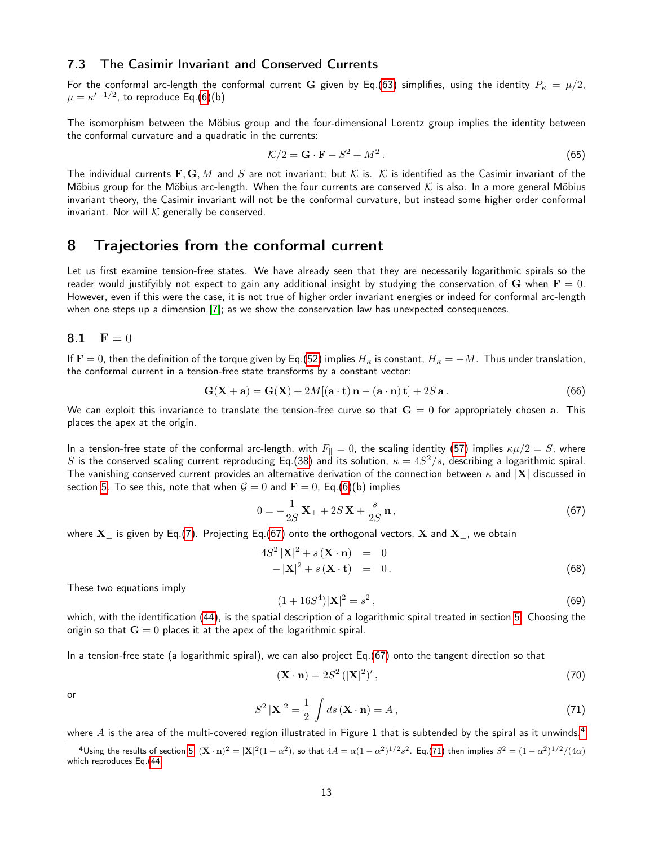#### 7.3 The Casimir Invariant and Conserved Currents

For the conformal arc-length the conformal current G given by Eq.[\(63\)](#page-11-2) simplifies, using the identity  $P_{\kappa} = \mu/2$ ,  $\mu = \kappa'^{-1/2}$ , to reproduce Eq.[\(6\)](#page-2-4)(b)

The isomorphism between the Möbius group and the four-dimensional Lorentz group implies the identity between the conformal curvature and a quadratic in the currents:

<span id="page-12-5"></span>
$$
\mathcal{K}/2 = \mathbf{G} \cdot \mathbf{F} - S^2 + M^2. \tag{65}
$$

The individual currents  $\mathbf{F}, \mathbf{G}, M$  and  $S$  are not invariant; but  $K$  is.  $K$  is identified as the Casimir invariant of the Möbius group for the Möbius arc-length. When the four currents are conserved  $K$  is also. In a more general Möbius invariant theory, the Casimir invariant will not be the conformal curvature, but instead some higher order conformal invariant. Nor will  $K$  generally be conserved.

### <span id="page-12-1"></span>8 Trajectories from the conformal current

Let us first examine tension-free states. We have already seen that they are necessarily logarithmic spirals so the reader would justifyibly not expect to gain any additional insight by studying the conservation of G when  $\mathbf{F} = 0$ . However, even if this were the case, it is not true of higher order invariant energies or indeed for conformal arc-length when one steps up a dimension [\[7\]](#page-23-0); as we show the conservation law has unexpected consequences.

<span id="page-12-0"></span>
$$
\mathbf{8.1} \quad \mathbf{F} = 0
$$

If  $F = 0$ , then the definition of the torque given by Eq.[\(52\)](#page-10-7) implies  $H_\kappa$  is constant,  $H_\kappa = -M$ . Thus under translation, the conformal current in a tension-free state transforms by a constant vector:

$$
\mathbf{G}(\mathbf{X} + \mathbf{a}) = \mathbf{G}(\mathbf{X}) + 2M[(\mathbf{a} \cdot \mathbf{t})\mathbf{n} - (\mathbf{a} \cdot \mathbf{n})\mathbf{t}] + 2S \mathbf{a}.
$$
 (66)

We can exploit this invariance to translate the tension-free curve so that  $G = 0$  for appropriately chosen a. This places the apex at the origin.

In a tension-free state of the conformal arc-length, with  $F_{\parallel} = 0$ , the scaling identity [\(57\)](#page-10-5) implies  $\kappa\mu/2 = S$ , where S is the conserved scaling current reproducing Eq.[\(38\)](#page-8-5) and its solution,  $\kappa = 4S^2/s$ , describing a logarithmic spiral. The vanishing conserved current provides an alternative derivation of the connection between  $\kappa$  and  $|X|$  discussed in section [5.](#page-8-6) To see this, note that when  $G = 0$  and  $F = 0$ , Eq.[\(6\)](#page-2-4)(b) implies

<span id="page-12-2"></span>
$$
0 = -\frac{1}{2S} \mathbf{X}_{\perp} + 2S \mathbf{X} + \frac{s}{2S} \mathbf{n}, \qquad (67)
$$

where  $X_{\perp}$  is given by Eq.[\(7\)](#page-2-5). Projecting Eq.[\(67\)](#page-12-2) onto the orthogonal vectors, X and  $X_{\perp}$ , we obtain

$$
4S2 |\mathbf{X}|2 + s(\mathbf{X} \cdot \mathbf{n}) = 0
$$
  
-|\mathbf{X}|<sup>2</sup> + s(\mathbf{X} \cdot \mathbf{t}) = 0. (68)

These two equations imply

$$
(1+16S4)|X|2 = s2,
$$
\n(69)

which, with the identification [\(44\)](#page-9-3), is the spatial description of a logarithmic spiral treated in section [5.](#page-8-6) Choosing the origin so that  $G = 0$  places it at the apex of the logarithmic spiral.

In a tension-free state (a logarithmic spiral), we can also project Eq.[\(67\)](#page-12-2) onto the tangent direction so that

$$
(\mathbf{X} \cdot \mathbf{n}) = 2S^2 \left( |\mathbf{X}|^2 \right)',\tag{70}
$$

or

<span id="page-12-4"></span>
$$
S^{2}|\mathbf{X}|^{2} = \frac{1}{2} \int ds (\mathbf{X} \cdot \mathbf{n}) = A, \qquad (71)
$$

where  $A$  is the area of the multi-covered region illustrated in Figure 1 that is subtended by the spiral as it unwinds.<sup>[4](#page-12-3)</sup>

<span id="page-12-3"></span><sup>&</sup>lt;sup>4</sup>Using the results of section [5,](#page-8-6)  $(\mathbf{X} \cdot \mathbf{n})^2 = |\mathbf{X}|^2 (1 - \alpha^2)$ , so that  $4A = \alpha (1 - \alpha^2)^{1/2} s^2$ . Eq.[\(71\)](#page-12-4) then implies  $S^2 = (1 - \alpha^2)^{1/2} / (4\alpha)$ which reproduces Eq.[\(44.](#page-9-3)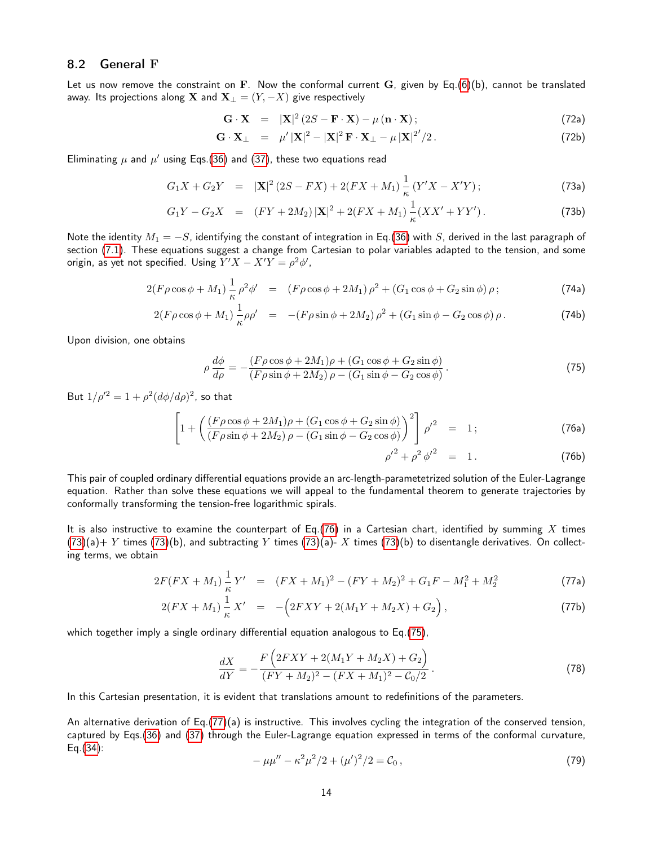#### 8.2 General F

Let us now remove the constraint on F. Now the conformal current G, given by Eq.[\(6\)](#page-2-4)(b), cannot be translated away. Its projections along X and  $X_{\perp} = (Y, -X)$  give respectively

<span id="page-13-1"></span>
$$
\mathbf{G} \cdot \mathbf{X} = |\mathbf{X}|^2 (2S - \mathbf{F} \cdot \mathbf{X}) - \mu (\mathbf{n} \cdot \mathbf{X}); \tag{72a}
$$

$$
\mathbf{G} \cdot \mathbf{X}_{\perp} = \mu' |\mathbf{X}|^2 - |\mathbf{X}|^2 \mathbf{F} \cdot \mathbf{X}_{\perp} - \mu |\mathbf{X}|^{2'}/2. \tag{72b}
$$

Eliminating  $\mu$  and  $\mu'$  using Eqs.[\(36\)](#page-8-0) and [\(37\)](#page-8-1), these two equations read

$$
G_1X + G_2Y = |\mathbf{X}|^2(2S - FX) + 2(FX + M_1)\frac{1}{\kappa}(Y'X - X'Y); \tag{73a}
$$

$$
G_1Y - G_2X = (FY + 2M_2)|\mathbf{X}|^2 + 2(FX + M_1)\frac{1}{\kappa}(XX' + YY').
$$
 (73b)

Note the identity  $M_1 = -S$ , identifying the constant of integration in Eq.[\(36\)](#page-8-0) with S, derived in the last paragraph of section [\(7.1\)](#page-10-0). These equations suggest a change from Cartesian to polar variables adapted to the tension, and some origin, as yet not specified. Using  $Y'X - X'Y = \rho^2 \phi'$ ,

$$
2(F\rho\cos\phi + M_1)\frac{1}{\kappa}\rho^2\phi' = (F\rho\cos\phi + 2M_1)\rho^2 + (G_1\cos\phi + G_2\sin\phi)\rho\,;
$$
 (74a)

$$
2(F\rho\cos\phi + M_1)\frac{1}{\kappa}\rho\rho' = -(F\rho\sin\phi + 2M_2)\rho^2 + (G_1\sin\phi - G_2\cos\phi)\rho.
$$
 (74b)

Upon division, one obtains

<span id="page-13-2"></span><span id="page-13-0"></span>
$$
\rho \frac{d\phi}{d\rho} = -\frac{(F\rho\cos\phi + 2M_1)\rho + (G_1\cos\phi + G_2\sin\phi)}{(F\rho\sin\phi + 2M_2)\rho - (G_1\sin\phi - G_2\cos\phi)}.
$$
\n(75)

But  $1/\rho'^2 = 1 + \rho^2 (d\phi/d\rho)^2$ , so that

$$
\left[1 + \left(\frac{(F\rho\cos\phi + 2M_1)\rho + (G_1\cos\phi + G_2\sin\phi)}{(F\rho\sin\phi + 2M_2)\rho - (G_1\sin\phi - G_2\cos\phi)}\right)^2\right]\rho'^2 = 1; \tag{76a}
$$

$$
{\rho'}^2 + {\rho^2} {\phi'}^2 = 1. \tag{76b}
$$

This pair of coupled ordinary differential equations provide an arc-length-parametetrized solution of the Euler-Lagrange equation. Rather than solve these equations we will appeal to the fundamental theorem to generate trajectories by conformally transforming the tension-free logarithmic spirals.

It is also instructive to examine the counterpart of Eq.[\(76\)](#page-13-0) in a Cartesian chart, identified by summing X times  $(73)(a) + Y$  $(73)(a) + Y$  times  $(73)(b)$ , and subtracting Y times  $(73)(a)$ - X times  $(73)(b)$  to disentangle derivatives. On collecting terms, we obtain

<span id="page-13-3"></span>
$$
2F(FX + M_1) \frac{1}{\kappa} Y' = (FX + M_1)^2 - (FY + M_2)^2 + G_1F - M_1^2 + M_2^2 \tag{77a}
$$

$$
2(FX + M_1) \frac{1}{\kappa} X' = -\left(2FXY + 2(M_1Y + M_2X) + G_2\right),
$$
\n(77b)

which together imply a single ordinary differential equation analogous to Eq.[\(75\)](#page-13-2),

$$
\frac{dX}{dY} = -\frac{F\left(2FXY + 2(M_1Y + M_2X) + G_2\right)}{(FY + M_2)^2 - (FX + M_1)^2 - C_0/2}.
$$
\n(78)

In this Cartesian presentation, it is evident that translations amount to redefinitions of the parameters.

An alternative derivation of Eq.[\(77\)](#page-13-3)(a) is instructive. This involves cycling the integration of the conserved tension, captured by Eqs.[\(36\)](#page-8-0) and [\(37\)](#page-8-1) through the Euler-Lagrange equation expressed in terms of the conformal curvature, Eq.[\(34\)](#page-7-3):

<span id="page-13-4"></span>
$$
-\mu\mu'' - \kappa^2\mu^2/2 + (\mu')^2/2 = C_0,
$$
\n(79)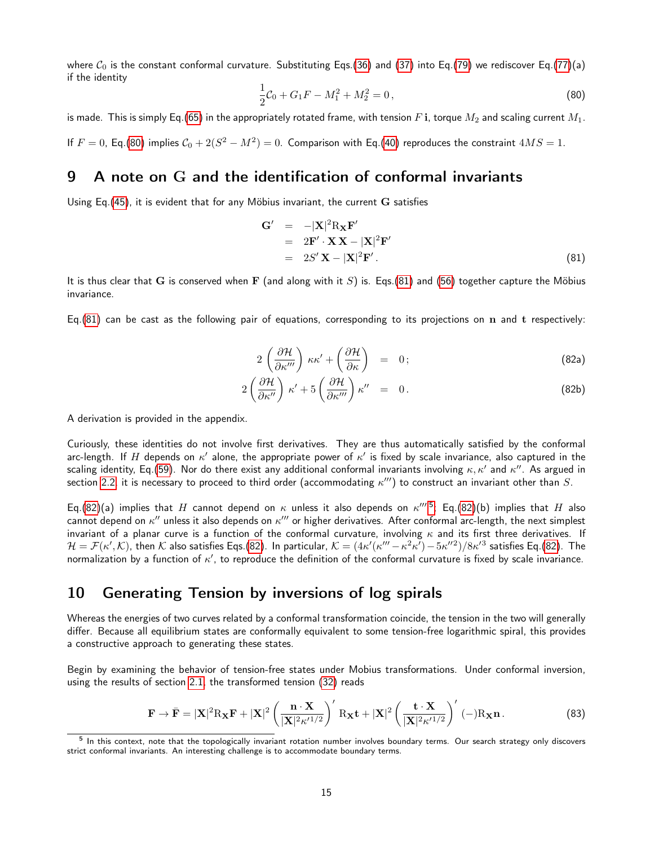where  $C_0$  is the constant conformal curvature. Substituting Eqs.[\(36\)](#page-8-0) and [\(37\)](#page-8-1) into Eq.[\(79\)](#page-13-4) we rediscover Eq.[\(77\)](#page-13-3)(a) if the identity

<span id="page-14-2"></span>
$$
\frac{1}{2}C_0 + G_1F - M_1^2 + M_2^2 = 0,
$$
\n(80)

is made. This is simply Eq.[\(65\)](#page-12-5) in the appropriately rotated frame, with tension F i, torque  $M_2$  and scaling current  $M_1$ .

If  $F = 0$ , Eq.[\(80\)](#page-14-2) implies  $C_0 + 2(S^2 - M^2) = 0$ . Comparison with Eq.[\(40\)](#page-8-7) reproduces the constraint  $4MS = 1$ .

## <span id="page-14-1"></span>9 A note on G and the identification of conformal invariants

Using Eq.  $(45)$ , it is evident that for any Möbius invariant, the current  $\bf{G}$  satisfies

<span id="page-14-3"></span>
$$
\mathbf{G}' = -|\mathbf{X}|^2 \mathbf{R}_{\mathbf{X}} \mathbf{F}'
$$
  
= 2\mathbf{F}' \cdot \mathbf{X} \mathbf{X} - |\mathbf{X}|^2 \mathbf{F}'  
= 2S' \mathbf{X} - |\mathbf{X}|^2 \mathbf{F}' . (81)

It is thus clear that G is conserved when F (and along with it S) is. Eqs.[\(81\)](#page-14-3) and [\(56\)](#page-10-4) together capture the Möbius invariance.

<span id="page-14-4"></span>Eq.[\(81\)](#page-14-3) can be cast as the following pair of equations, corresponding to its projections on  $n$  and  $t$  respectively:

$$
2\left(\frac{\partial \mathcal{H}}{\partial \kappa^{\prime\prime\prime}}\right)\kappa\kappa^{\prime}+\left(\frac{\partial \mathcal{H}}{\partial \kappa}\right) = 0;
$$
\n(82a)

$$
2\left(\frac{\partial \mathcal{H}}{\partial \kappa''}\right)\kappa' + 5\left(\frac{\partial \mathcal{H}}{\partial \kappa'''}\right)\kappa'' = 0.
$$
 (82b)

A derivation is provided in the appendix.

Curiously, these identities do not involve first derivatives. They are thus automatically satisfied by the conformal arc-length. If  $H$  depends on  $\kappa'$  alone, the appropriate power of  $\kappa'$  is fixed by scale invariance, also captured in the scaling identity, Eq.[\(59\)](#page-11-3). Nor do there exist any additional conformal invariants involving  $\kappa,\kappa'$  and  $\kappa''$ . As argued in section [2.2,](#page-4-3) it is necessary to proceed to third order (accommodating  $\kappa'''$ ) to construct an invariant other than  $S.$ 

Eq.[\(82\)](#page-14-4)(a) implies that H cannot depend on  $\kappa$  unless it also depends on  $\kappa'''$ <sup>[5](#page-14-5)</sup>; Eq.(82)(b) implies that H also cannot depend on  $\kappa''$  unless it also depends on  $\kappa'''$  or higher derivatives. After conformal arc-length, the next simplest invariant of a planar curve is a function of the conformal curvature, involving  $\kappa$  and its first three derivatives. If  $\mathcal{H}=\mathcal{F}(\kappa',\mathcal{K})$ , then  $\mathcal K$  also satisfies Eqs.[\(82\)](#page-14-4). In particular,  $\mathcal{K}=(4\kappa'(\kappa'''-\kappa^2\kappa')-5\kappa''^2)/8\kappa'^3$  satisfies Eq.(82). The normalization by a function of  $\kappa'$ , to reproduce the definition of the conformal curvature is fixed by scale invariance.

### <span id="page-14-0"></span>10 Generating Tension by inversions of log spirals

Whereas the energies of two curves related by a conformal transformation coincide, the tension in the two will generally differ. Because all equilibrium states are conformally equivalent to some tension-free logarithmic spiral, this provides a constructive approach to generating these states.

Begin by examining the behavior of tension-free states under Mobius transformations. Under conformal inversion, using the results of section [2.1,](#page-4-5) the transformed tension [\(32\)](#page-7-2) reads

$$
\mathbf{F} \to \bar{\mathbf{F}} = |\mathbf{X}|^2 R_{\mathbf{X}} \mathbf{F} + |\mathbf{X}|^2 \left(\frac{\mathbf{n} \cdot \mathbf{X}}{|\mathbf{X}|^2 \kappa'^{1/2}}\right)' R_{\mathbf{X}} \mathbf{t} + |\mathbf{X}|^2 \left(\frac{\mathbf{t} \cdot \mathbf{X}}{|\mathbf{X}|^2 \kappa'^{1/2}}\right)'(-) R_{\mathbf{X}} \mathbf{n}.
$$
 (83)

<span id="page-14-5"></span><sup>&</sup>lt;sup>5</sup> In this context, note that the topologically invariant rotation number involves boundary terms. Our search strategy only discovers strict conformal invariants. An interesting challenge is to accommodate boundary terms.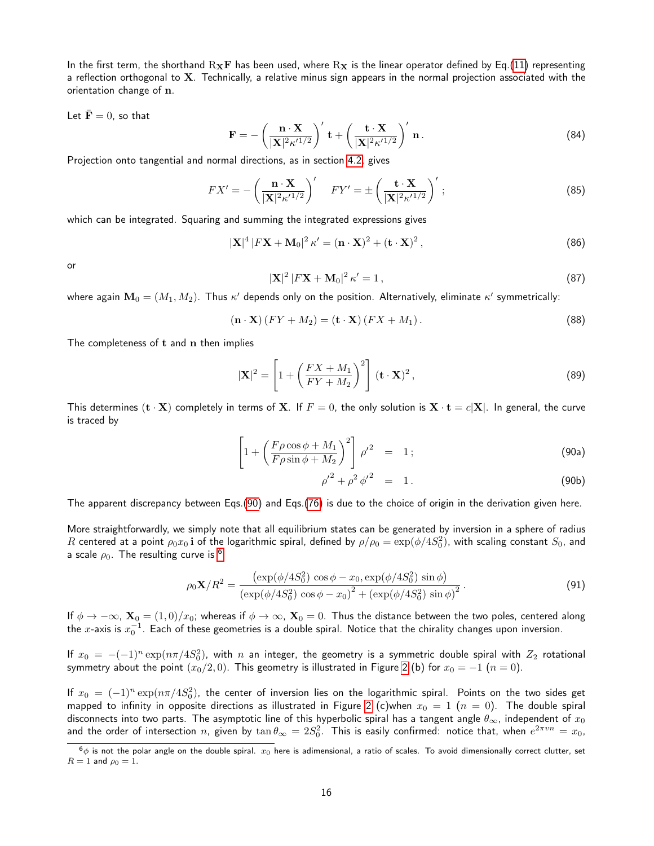In the first term, the shorthand  $R_XF$  has been used, where  $R_X$  is the linear operator defined by Eq.[\(11\)](#page-4-4) representing a reflection orthogonal to X. Technically, a relative minus sign appears in the normal projection associated with the orientation change of n.

Let  $\bar{\mathbf{F}} = 0$ , so that

$$
\mathbf{F} = -\left(\frac{\mathbf{n} \cdot \mathbf{X}}{|\mathbf{X}|^2 \kappa'^{1/2}}\right)' \mathbf{t} + \left(\frac{\mathbf{t} \cdot \mathbf{X}}{|\mathbf{X}|^2 \kappa'^{1/2}}\right)' \mathbf{n}.
$$
 (84)

Projection onto tangential and normal directions, as in section [4.2,](#page-8-8) gives

$$
FX' = -\left(\frac{\mathbf{n} \cdot \mathbf{X}}{|\mathbf{X}|^2 \kappa'^{1/2}}\right)' \quad FY' = \pm \left(\frac{\mathbf{t} \cdot \mathbf{X}}{|\mathbf{X}|^2 \kappa'^{1/2}}\right)',\tag{85}
$$

which can be integrated. Squaring and summing the integrated expressions gives

$$
|\mathbf{X}|^4 | F\mathbf{X} + \mathbf{M}_0|^2 \kappa' = (\mathbf{n} \cdot \mathbf{X})^2 + (\mathbf{t} \cdot \mathbf{X})^2 , \qquad (86)
$$

or

$$
|\mathbf{X}|^2 |FX + \mathbf{M}_0|^2 \kappa' = 1, \qquad (87)
$$

where again  $\mathbf{M}_0=(M_1,M_2).$  Thus  $\kappa'$  depends only on the position. Alternatively, eliminate  $\kappa'$  symmetrically:

$$
(\mathbf{n} \cdot \mathbf{X}) (FY + M_2) = (\mathbf{t} \cdot \mathbf{X}) (FX + M_1).
$$
\n(88)

The completeness of t and n then implies

$$
|\mathbf{X}|^2 = \left[1 + \left(\frac{FX + M_1}{FY + M_2}\right)^2\right] (\mathbf{t} \cdot \mathbf{X})^2,
$$
\n(89)

<span id="page-15-0"></span>This determines  $(\mathbf{t} \cdot \mathbf{X})$  completely in terms of X. If  $F = 0$ , the only solution is  $\mathbf{X} \cdot \mathbf{t} = c|\mathbf{X}|$ . In general, the curve is traced by

$$
\left[1 + \left(\frac{F\rho\cos\phi + M_1}{F\rho\sin\phi + M_2}\right)^2\right]\rho'^2 = 1; \tag{90a}
$$

$$
{\rho'}^2 + {\rho^2} {\phi'}^2 = 1.
$$
 (90b)

The apparent discrepancy between Eqs.[\(90\)](#page-15-0) and Eqs.[\(76\)](#page-13-0) is due to the choice of origin in the derivation given here.

More straightforwardly, we simply note that all equilibrium states can be generated by inversion in a sphere of radius  $R$  centered at a point  $\rho_0x_0$   ${\bf i}$  of the logarithmic spiral, defined by  $\rho/\rho_0=\exp(\phi/4S_0^2)$ , with scaling constant  $S_0$ , and a scale  $\rho_0$ . The resulting curve is <sup>[6](#page-15-1)</sup>

<span id="page-15-2"></span>
$$
\rho_0 \mathbf{X}/R^2 = \frac{(\exp(\phi/4S_0^2) \cos \phi - x_0, \exp(\phi/4S_0^2) \sin \phi)}{(\exp(\phi/4S_0^2) \cos \phi - x_0)^2 + (\exp(\phi/4S_0^2) \sin \phi)^2}.
$$
(91)

If  $\phi \to -\infty$ ,  $\mathbf{X}_0 = (1,0)/x_0$ ; whereas if  $\phi \to \infty$ ,  $\mathbf{X}_0 = 0$ . Thus the distance between the two poles, centered along the  $x$ -axis is  $x_0^{-1}$ . Each of these geometries is a double spiral. Notice that the chirality changes upon inversion.

If  $x_0\,=\, -(-1)^n \exp(n\pi/4S_0^2)$ , with  $n$  an integer, the geometry is a symmetric double spiral with  $Z_2$  rotational symmetry about the point  $(x_0/2, 0)$ . This geometry is illustrated in Figure [2](#page-2-0) (b) for  $x_0 = -1$   $(n = 0)$ .

If  $x_0 = (-1)^n \exp(n\pi/4S_0^2)$ , the center of inversion lies on the logarithmic spiral. Points on the two sides get mapped to infinity in opposite directions as illustrated in Figure [2](#page-2-0) (c)when  $x_0 = 1$  ( $n = 0$ ). The double spiral disconnects into two parts. The asymptotic line of this hyperbolic spiral has a tangent angle  $\theta_{\infty}$ , independent of  $x_0$ and the order of intersection  $n$ , given by  $\tan\theta_\infty=2S_0^2$ . This is easily confirmed: notice that, when  $e^{2\pi v n}=x_0$ ,

<span id="page-15-1"></span> $6\phi$  is not the polar angle on the double spiral.  $x_0$  here is adimensional, a ratio of scales. To avoid dimensionally correct clutter, set  $R = 1$  and  $\rho_0 = 1$ .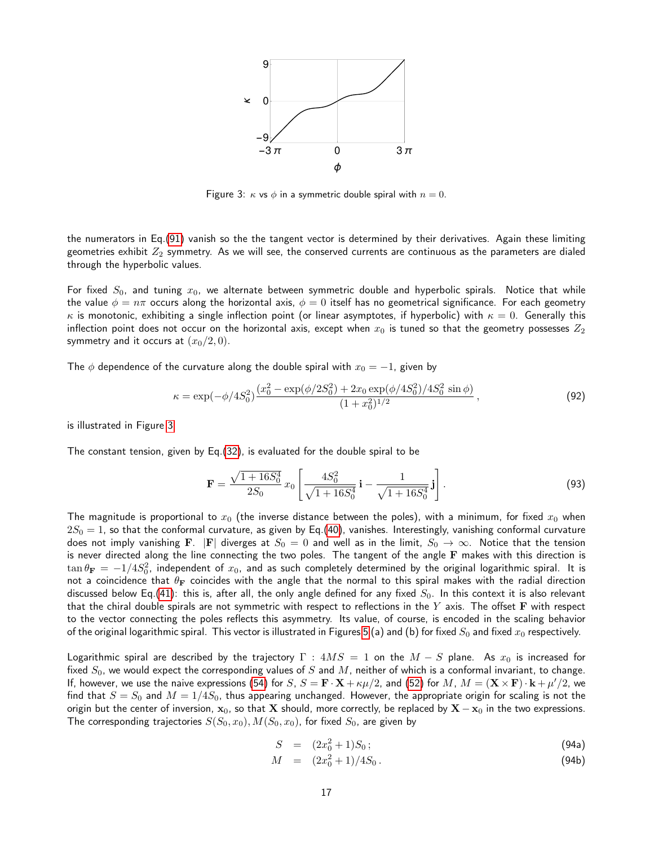

<span id="page-16-0"></span>Figure 3:  $\kappa$  vs  $\phi$  in a symmetric double spiral with  $n = 0$ .

the numerators in Eq.[\(91\)](#page-15-2) vanish so the the tangent vector is determined by their derivatives. Again these limiting geometries exhibit  $Z_2$  symmetry. As we will see, the conserved currents are continuous as the parameters are dialed through the hyperbolic values.

For fixed  $S_0$ , and tuning  $x_0$ , we alternate between symmetric double and hyperbolic spirals. Notice that while the value  $\phi = n\pi$  occurs along the horizontal axis,  $\phi = 0$  itself has no geometrical significance. For each geometry κ is monotonic, exhibiting a single inflection point (or linear asymptotes, if hyperbolic) with  $\kappa = 0$ . Generally this inflection point does not occur on the horizontal axis, except when  $x_0$  is tuned so that the geometry possesses  $Z_2$ symmetry and it occurs at  $(x_0/2, 0)$ .

The  $\phi$  dependence of the curvature along the double spiral with  $x_0 = -1$ , given by

$$
\kappa = \exp(-\phi/4S_0^2) \frac{(x_0^2 - \exp(\phi/2S_0^2) + 2x_0 \exp(\phi/4S_0^2)/4S_0^2 \sin \phi)}{(1 + x_0^2)^{1/2}},
$$
\n(92)

is illustrated in Figure [3.](#page-16-0)

The constant tension, given by Eq.[\(32\)](#page-7-2), is evaluated for the double spiral to be

$$
\mathbf{F} = \frac{\sqrt{1+16S_0^4}}{2S_0} x_0 \left[ \frac{4S_0^2}{\sqrt{1+16S_0^4}} \mathbf{i} - \frac{1}{\sqrt{1+16S_0^4}} \mathbf{j} \right].
$$
 (93)

The magnitude is proportional to  $x_0$  (the inverse distance between the poles), with a minimum, for fixed  $x_0$  when  $2S_0 = 1$ , so that the conformal curvature, as given by Eq.[\(40\)](#page-8-7), vanishes. Interestingly, vanishing conformal curvature does not imply vanishing F. |F| diverges at  $S_0 = 0$  and well as in the limit,  $S_0 \to \infty$ . Notice that the tension is never directed along the line connecting the two poles. The tangent of the angle F makes with this direction is  $\tan\theta_{\bf F}=-1/4S_0^2$ , independent of  $x_0$ , and as such completely determined by the original logarithmic spiral. It is not a coincidence that  $\theta_F$  coincides with the angle that the normal to this spiral makes with the radial direction discussed below Eq.[\(41\)](#page-8-3): this is, after all, the only angle defined for any fixed  $S_0$ . In this context it is also relevant that the chiral double spirals are not symmetric with respect to reflections in the  $Y$  axis. The offset  $\bf F$  with respect to the vector connecting the poles reflects this asymmetry. Its value, of course, is encoded in the scaling behavior of the original logarithmic spiral. This vector is illustrated in Figures [5](#page-17-0) (a) and (b) for fixed  $S_0$  and fixed  $x_0$  respectively.

Logarithmic spiral are described by the trajectory  $\Gamma$  :  $4MS = 1$  on the  $M - S$  plane. As  $x_0$  is increased for fixed  $S_0$ , we would expect the corresponding values of S and M, neither of which is a conformal invariant, to change. If, however, we use the naive expressions [\(54\)](#page-10-1) for  $S$ ,  $S = \mathbf{F} \cdot \mathbf{X} + \kappa \mu/2$ , and [\(52\)](#page-10-7) for  $M$ ,  $M = (\mathbf{X} \times \mathbf{F}) \cdot \mathbf{k} + \mu'/2$ , we find that  $S=S_0$  and  $M=1/4S_0$ , thus appearing unchanged. However, the appropriate origin for scaling is not the origin but the center of inversion,  $x_0$ , so that  $X$  should, more correctly, be replaced by  $X - x_0$  in the two expressions. The corresponding trajectories  $S(S_0, x_0), M(S_0, x_0)$ , for fixed  $S_0$ , are given by

$$
S = (2x_0^2 + 1)S_0;
$$
 (94a)

$$
M = (2x_0^2 + 1)/4S_0.
$$
 (94b)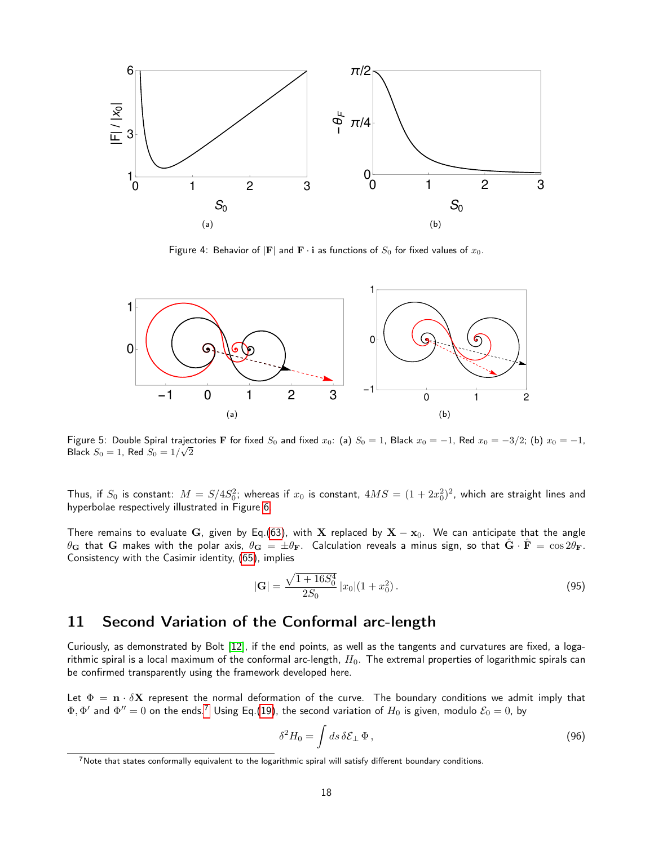

Figure 4: Behavior of  $|F|$  and  $F \cdot i$  as functions of  $S_0$  for fixed values of  $x_0$ .



<span id="page-17-0"></span>Figure 5: Double Spiral trajectories F for fixed  $S_0$  and fixed  $x_0$ : (a)  $S_0 = 1$ , Black  $x_0 = -1$ , Red  $x_0 = -3/2$ ; (b)  $x_0 = -1$ , Black  $S_0=1$ , Red  $S_0=1/\sqrt{2}$ 

Thus, if  $S_0$  is constant:  $M=S/4S_0^2$ ; whereas if  $x_0$  is constant,  $4MS=(1+2x_0^2)^2$ , which are straight lines and hyperbolae respectively illustrated in Figure [6.](#page-18-0)

There remains to evaluate G, given by Eq.[\(63\)](#page-11-2), with X replaced by  $X - x_0$ . We can anticipate that the angle  $\theta_{\bf G}$  that  ${\bf G}$  makes with the polar axis,  $\theta_{\bf G}=\pm\theta_{\bf F}$ . Calculation reveals a minus sign, so that  $\hat{\bf G}\cdot\hat{\bf F}=\cos2\theta_{\bf F}$ . Consistency with the Casimir identity, [\(65\)](#page-12-5), implies

$$
|\mathbf{G}| = \frac{\sqrt{1+16S_0^4}}{2S_0} |x_0|(1+x_0^2).
$$
 (95)

## 11 Second Variation of the Conformal arc-length

Curiously, as demonstrated by Bolt [\[12\]](#page-23-5), if the end points, as well as the tangents and curvatures are fixed, a logarithmic spiral is a local maximum of the conformal arc-length,  $H_0$ . The extremal properties of logarithmic spirals can be confirmed transparently using the framework developed here.

Let  $\Phi = \mathbf{n} \cdot \delta \mathbf{X}$  represent the normal deformation of the curve. The boundary conditions we admit imply that  $\Phi, \Phi'$  and  $\Phi''=0$  on the ends.<sup>[7](#page-17-1)</sup> Using Eq.[\(19\)](#page-5-3), the second variation of  $H_0$  is given, modulo  $\mathcal{E}_0=0$ , by

<span id="page-17-2"></span>
$$
\delta^2 H_0 = \int ds \,\delta \mathcal{E}_\perp \, \Phi \,, \tag{96}
$$

<span id="page-17-1"></span><sup>7</sup>Note that states conformally equivalent to the logarithmic spiral will satisfy different boundary conditions.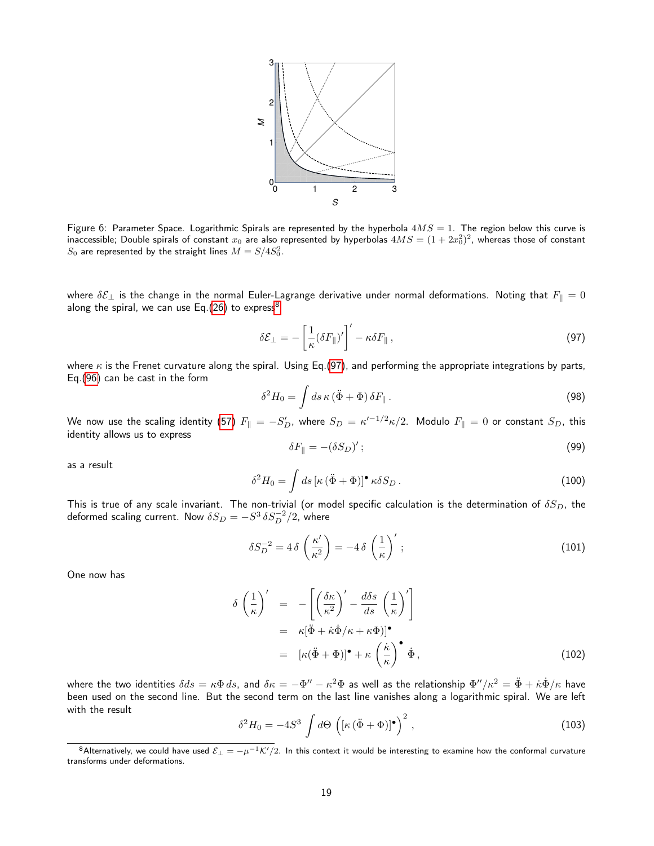

<span id="page-18-0"></span>Figure 6: Parameter Space. Logarithmic Spirals are represented by the hyperbola  $4MS = 1$ . The region below this curve is inaccessible; Double spirals of constant  $x_0$  are also represented by hyperbolas  $4MS=(1+2x_0^2)^2$ , whereas those of constant  $S_0$  are represented by the straight lines  $M=S/4S_0^2$ .

where  $\delta \mathcal{E}_\perp$  is the change in the normal Euler-Lagrange derivative under normal deformations. Noting that  $F_{\parallel} = 0$ along the spiral, we can use Eq.[\(26\)](#page-6-2) to express<sup>[8](#page-18-1)</sup>

<span id="page-18-2"></span>
$$
\delta \mathcal{E}_{\perp} = -\left[\frac{1}{\kappa} (\delta F_{\parallel})'\right]' - \kappa \delta F_{\parallel} , \qquad (97)
$$

where  $\kappa$  is the Frenet curvature along the spiral. Using Eq.[\(97\)](#page-18-2), and performing the appropriate integrations by parts, Eq.[\(96\)](#page-17-2) can be cast in the form

$$
\delta^2 H_0 = \int ds \,\kappa \left(\ddot{\Phi} + \Phi\right) \delta F_{\parallel} \,. \tag{98}
$$

We now use the scaling identity [\(57\)](#page-10-5)  $F_{\|}=-S_D',$  where  $S_D=\kappa'^{-1/2}\kappa/2.$  Modulo  $F_{\|}=0$  or constant  $S_D,$  this identity allows us to express

$$
\delta F_{\parallel} = -(\delta S_D)';\tag{99}
$$

as a result

$$
\delta^2 H_0 = \int ds \left[ \kappa \left( \ddot{\Phi} + \Phi \right) \right]^\bullet \kappa \delta S_D \,. \tag{100}
$$

This is true of any scale invariant. The non-trivial (or model specific calculation is the determination of  $\delta S_D$ , the deformed scaling current. Now  $\delta S_D = - S^3 \, \delta S_D^{-2}/2$ , where

$$
\delta S_D^{-2} = 4 \delta \left( \frac{\kappa'}{\kappa^2} \right) = -4 \delta \left( \frac{1}{\kappa} \right)' ; \tag{101}
$$

One now has

$$
\delta \left(\frac{1}{\kappa}\right)' = -\left[\left(\frac{\delta \kappa}{\kappa^2}\right)' - \frac{d\delta s}{ds} \left(\frac{1}{\kappa}\right)'\right]
$$
  

$$
= \kappa[\ddot{\Phi} + \dot{\kappa}\dot{\Phi}/\kappa + \kappa\Phi)]^{\bullet}
$$
  

$$
= [\kappa(\ddot{\Phi} + \Phi)]^{\bullet} + \kappa \left(\frac{\dot{\kappa}}{\kappa}\right)^{\bullet} \dot{\Phi},
$$
(102)

where the two identities  $\delta ds=\kappa\Phi\,ds$ , and  $\delta\kappa=-\Phi''-\kappa^2\Phi$  as well as the relationship  $\Phi''/\kappa^2=\ddot{\Phi}+\dot{\kappa}\dot{\Phi}/\kappa$  have been used on the second line. But the second term on the last line vanishes along a logarithmic spiral. We are left with the result

$$
\delta^2 H_0 = -4S^3 \int d\Theta \left( \left[ \kappa \left( \ddot{\Phi} + \Phi \right) \right]^{\bullet} \right)^2 , \tag{103}
$$

<span id="page-18-1"></span><sup>8</sup>Alternatively, we could have used  $\mathcal{E}_\perp = -\mu^{-1}\mathcal{K}'/2$ . In this context it would be interesting to examine how the conformal curvature transforms under deformations.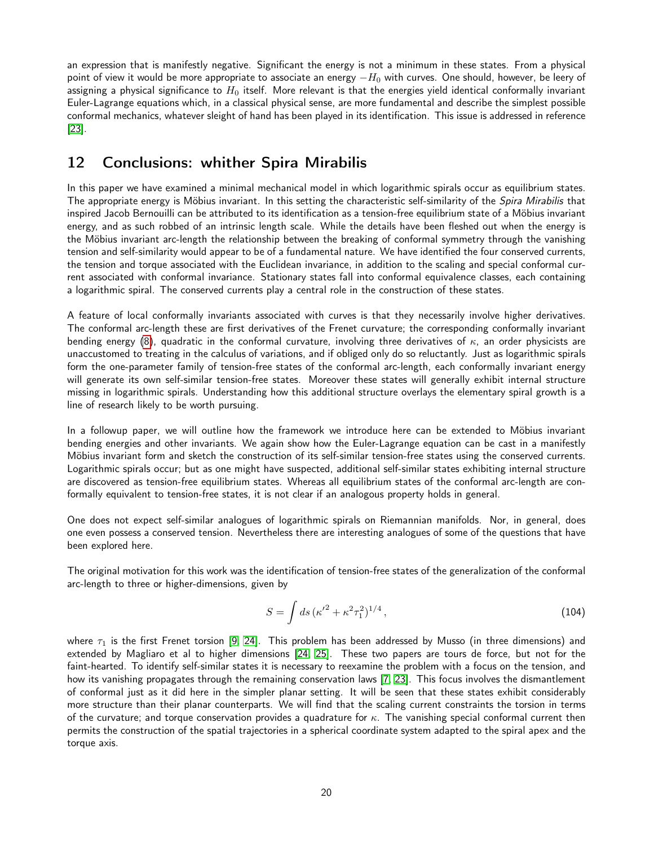an expression that is manifestly negative. Significant the energy is not a minimum in these states. From a physical point of view it would be more appropriate to associate an energy  $-H_0$  with curves. One should, however, be leery of assigning a physical significance to  $H_0$  itself. More relevant is that the energies yield identical conformally invariant Euler-Lagrange equations which, in a classical physical sense, are more fundamental and describe the simplest possible conformal mechanics, whatever sleight of hand has been played in its identification. This issue is addressed in reference [\[23\]](#page-23-15).

## 12 Conclusions: whither Spira Mirabilis

In this paper we have examined a minimal mechanical model in which logarithmic spirals occur as equilibrium states. The appropriate energy is Möbius invariant. In this setting the characteristic self-similarity of the Spira Mirabilis that inspired Jacob Bernouilli can be attributed to its identification as a tension-free equilibrium state of a Möbius invariant energy, and as such robbed of an intrinsic length scale. While the details have been fleshed out when the energy is the Möbius invariant arc-length the relationship between the breaking of conformal symmetry through the vanishing tension and self-similarity would appear to be of a fundamental nature. We have identified the four conserved currents, the tension and torque associated with the Euclidean invariance, in addition to the scaling and special conformal current associated with conformal invariance. Stationary states fall into conformal equivalence classes, each containing a logarithmic spiral. The conserved currents play a central role in the construction of these states.

A feature of local conformally invariants associated with curves is that they necessarily involve higher derivatives. The conformal arc-length these are first derivatives of the Frenet curvature; the corresponding conformally invariant bending energy [\(8\)](#page-3-0), quadratic in the conformal curvature, involving three derivatives of  $\kappa$ , an order physicists are unaccustomed to treating in the calculus of variations, and if obliged only do so reluctantly. Just as logarithmic spirals form the one-parameter family of tension-free states of the conformal arc-length, each conformally invariant energy will generate its own self-similar tension-free states. Moreover these states will generally exhibit internal structure missing in logarithmic spirals. Understanding how this additional structure overlays the elementary spiral growth is a line of research likely to be worth pursuing.

In a followup paper, we will outline how the framework we introduce here can be extended to Möbius invariant bending energies and other invariants. We again show how the Euler-Lagrange equation can be cast in a manifestly Möbius invariant form and sketch the construction of its self-similar tension-free states using the conserved currents. Logarithmic spirals occur; but as one might have suspected, additional self-similar states exhibiting internal structure are discovered as tension-free equilibrium states. Whereas all equilibrium states of the conformal arc-length are conformally equivalent to tension-free states, it is not clear if an analogous property holds in general.

One does not expect self-similar analogues of logarithmic spirals on Riemannian manifolds. Nor, in general, does one even possess a conserved tension. Nevertheless there are interesting analogues of some of the questions that have been explored here.

The original motivation for this work was the identification of tension-free states of the generalization of the conformal arc-length to three or higher-dimensions, given by

$$
S = \int ds \, (\kappa'^2 + \kappa^2 \tau_1^2)^{1/4} \,, \tag{104}
$$

where  $\tau_1$  is the first Frenet torsion [\[9,](#page-23-2) [24\]](#page-23-16). This problem has been addressed by Musso (in three dimensions) and extended by Magliaro et al to higher dimensions [\[24,](#page-23-16) [25\]](#page-23-17). These two papers are tours de force, but not for the faint-hearted. To identify self-similar states it is necessary to reexamine the problem with a focus on the tension, and how its vanishing propagates through the remaining conservation laws [\[7,](#page-23-0) [23\]](#page-23-15). This focus involves the dismantlement of conformal just as it did here in the simpler planar setting. It will be seen that these states exhibit considerably more structure than their planar counterparts. We will find that the scaling current constraints the torsion in terms of the curvature; and torque conservation provides a quadrature for  $\kappa$ . The vanishing special conformal current then permits the construction of the spatial trajectories in a spherical coordinate system adapted to the spiral apex and the torque axis.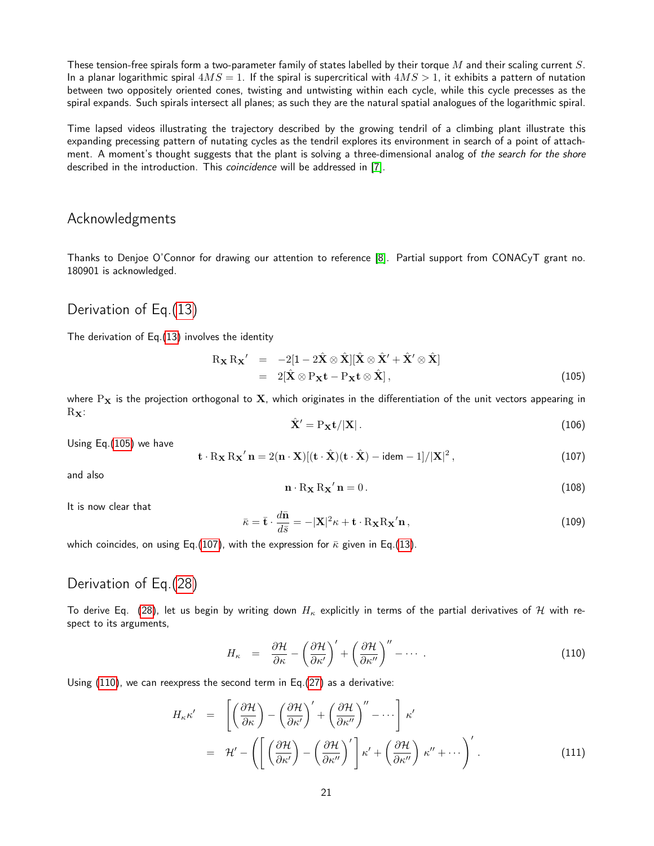These tension-free spirals form a two-parameter family of states labelled by their torque  $M$  and their scaling current  $S$ . In a planar logarithmic spiral  $4MS = 1$ . If the spiral is supercritical with  $4MS > 1$ , it exhibits a pattern of nutation between two oppositely oriented cones, twisting and untwisting within each cycle, while this cycle precesses as the spiral expands. Such spirals intersect all planes; as such they are the natural spatial analogues of the logarithmic spiral.

Time lapsed videos illustrating the trajectory described by the growing tendril of a climbing plant illustrate this expanding precessing pattern of nutating cycles as the tendril explores its environment in search of a point of attachment. A moment's thought suggests that the plant is solving a three-dimensional analog of the search for the shore described in the introduction. This coincidence will be addressed in [\[7\]](#page-23-0).

### Acknowledgments

Thanks to Denjoe O'Connor for drawing our attention to reference [\[8\]](#page-23-1). Partial support from CONACyT grant no. 180901 is acknowledged.

## Derivation of Eq.[\(13\)](#page-4-6)

The derivation of Eq.[\(13\)](#page-4-6) involves the identity

<span id="page-20-1"></span>
$$
\begin{array}{rcl}\n\mathbf{R}_{\mathbf{X}}\mathbf{R}_{\mathbf{X}}' & = & -2[1 - 2\hat{\mathbf{X}} \otimes \hat{\mathbf{X}}][\hat{\mathbf{X}} \otimes \hat{\mathbf{X}}' + \hat{\mathbf{X}}' \otimes \hat{\mathbf{X}}] \\
& = & 2[\hat{\mathbf{X}} \otimes \mathbf{P}_{\mathbf{X}}\mathbf{t} - \mathbf{P}_{\mathbf{X}}\mathbf{t} \otimes \hat{\mathbf{X}}],\n\end{array} \tag{105}
$$

where  $P_X$  is the projection orthogonal to X, which originates in the differentiation of the unit vectors appearing in  $R_{\mathbf{X}}$ :

$$
\hat{\mathbf{X}}' = \mathbf{P}_{\mathbf{X}} \mathbf{t} / |\mathbf{X}| \,. \tag{106}
$$

Using Eq.[\(105\)](#page-20-1) we have

<span id="page-20-2"></span>
$$
\mathbf{t} \cdot R_{\mathbf{X}} R_{\mathbf{X}}' \mathbf{n} = 2(\mathbf{n} \cdot \mathbf{X}) [(\mathbf{t} \cdot \hat{\mathbf{X}})(\mathbf{t} \cdot \hat{\mathbf{X}}) - \text{idem} - 1] / |\mathbf{X}|^2, \qquad (107)
$$

and also

$$
\mathbf{n} \cdot \mathbf{R}_{\mathbf{X}} \mathbf{R}_{\mathbf{X}}' \mathbf{n} = 0. \tag{108}
$$

It is now clear that

$$
\bar{\kappa} = \bar{\mathbf{t}} \cdot \frac{d\bar{\mathbf{n}}}{d\bar{s}} = -|\mathbf{X}|^2 \kappa + \mathbf{t} \cdot R_{\mathbf{X}} R_{\mathbf{X}}' \mathbf{n},\tag{109}
$$

which coincides, on using Eq.[\(107\)](#page-20-2), with the expression for  $\bar{\kappa}$  given in Eq.[\(13\)](#page-4-6).

## Derivation of Eq.[\(28\)](#page-6-5)

To derive Eq. [\(28\)](#page-6-5), let us begin by writing down  $H_{\kappa}$  explicitly in terms of the partial derivatives of H with respect to its arguments,

<span id="page-20-0"></span>
$$
H_{\kappa} = \frac{\partial \mathcal{H}}{\partial \kappa} - \left(\frac{\partial \mathcal{H}}{\partial \kappa'}\right)' + \left(\frac{\partial \mathcal{H}}{\partial \kappa''}\right)'' - \cdots \tag{110}
$$

Using [\(110\)](#page-20-0), we can reexpress the second term in Eq.[\(27\)](#page-6-8) as a derivative:

$$
H_{\kappa} \kappa' = \left[ \left( \frac{\partial \mathcal{H}}{\partial \kappa} \right) - \left( \frac{\partial \mathcal{H}}{\partial \kappa'} \right)' + \left( \frac{\partial \mathcal{H}}{\partial \kappa''} \right)'' - \cdots \right] \kappa'
$$
  

$$
= \mathcal{H}' - \left( \left[ \left( \frac{\partial \mathcal{H}}{\partial \kappa'} \right) - \left( \frac{\partial \mathcal{H}}{\partial \kappa''} \right)' \right] \kappa' + \left( \frac{\partial \mathcal{H}}{\partial \kappa''} \right) \kappa'' + \cdots \right)' .
$$
 (111)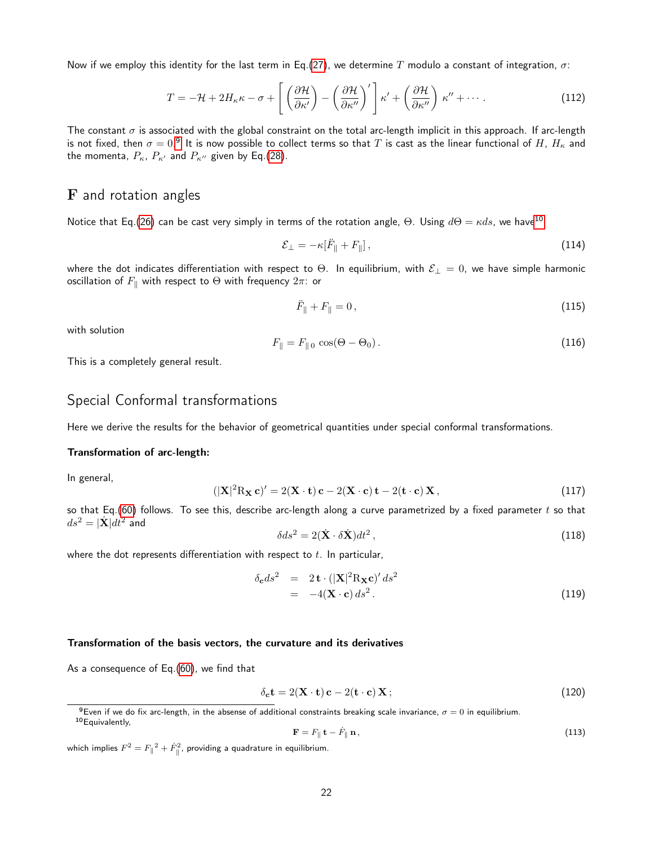Now if we employ this identity for the last term in Eq.[\(27\)](#page-6-8), we determine T modulo a constant of integration,  $\sigma$ :

$$
T = -\mathcal{H} + 2H_{\kappa}\kappa - \sigma + \left[ \left( \frac{\partial \mathcal{H}}{\partial \kappa'} \right) - \left( \frac{\partial \mathcal{H}}{\partial \kappa''} \right)' \right] \kappa' + \left( \frac{\partial \mathcal{H}}{\partial \kappa''} \right) \kappa'' + \cdots \tag{112}
$$

The constant  $\sigma$  is associated with the global constraint on the total arc-length implicit in this approach. If arc-length is not fixed, then  $\sigma=0.^9$  $\sigma=0.^9$  It is now possible to collect terms so that  $T$  is cast as the linear functional of  $H$ ,  $H_\kappa$  and the momenta,  $P_{\kappa}$ ,  $P_{\kappa'}$  and  $P_{\kappa''}$  given by Eq.[\(28\)](#page-6-5).

### F and rotation angles

Notice that Eq.[\(26\)](#page-6-2) can be cast very simply in terms of the rotation angle, Θ. Using  $d\Theta = \kappa ds$ , we have<sup>[10](#page-21-1)</sup>

$$
\mathcal{E}_{\perp} = -\kappa [\ddot{F}_{\parallel} + F_{\parallel}], \qquad (114)
$$

where the dot indicates differentiation with respect to  $\Theta$ . In equilibrium, with  $\mathcal{E}_\perp = 0$ , we have simple harmonic oscillation of  $F_{\parallel}$  with respect to  $\Theta$  with frequency  $2\pi$ : or

$$
\ddot{F}_{\parallel} + F_{\parallel} = 0, \tag{115}
$$

with solution

$$
F_{\parallel} = F_{\parallel 0} \cos(\Theta - \Theta_0). \tag{116}
$$

This is a completely general result.

### Special Conformal transformations

Here we derive the results for the behavior of geometrical quantities under special conformal transformations.

#### Transformation of arc-length:

In general,

$$
|\mathbf{X}|^2 \mathbf{R}_{\mathbf{X}} \mathbf{c})' = 2(\mathbf{X} \cdot \mathbf{t}) \mathbf{c} - 2(\mathbf{X} \cdot \mathbf{c}) \mathbf{t} - 2(\mathbf{t} \cdot \mathbf{c}) \mathbf{X},
$$
\n(117)

so that Eq.[\(60\)](#page-11-4) follows. To see this, describe arc-length along a curve parametrized by a fixed parameter  $t$  so that  $ds^2 = |\dot{\mathbf{X}}| dt^2$  and

$$
\delta ds^2 = 2(\dot{\mathbf{X}} \cdot \delta \dot{\mathbf{X}})dt^2, \qquad (118)
$$

where the dot represents differentiation with respect to  $t$ . In particular,

 $($ 

$$
\delta_{\mathbf{c}} ds^2 = 2 \mathbf{t} \cdot (|\mathbf{X}|^2 \mathbf{R}_{\mathbf{X}} \mathbf{c})' ds^2
$$
  
= -4( $\mathbf{X} \cdot \mathbf{c}$ ) ds<sup>2</sup>. (119)

#### Transformation of the basis vectors, the curvature and its derivatives

As a consequence of Eq.[\(60\)](#page-11-4), we find that

<span id="page-21-2"></span>
$$
\delta_{\mathbf{c}} \mathbf{t} = 2(\mathbf{X} \cdot \mathbf{t}) \mathbf{c} - 2(\mathbf{t} \cdot \mathbf{c}) \mathbf{X};\tag{120}
$$

$$
\mathbf{F} = F_{\parallel} \mathbf{t} - \dot{F}_{\parallel} \mathbf{n},\tag{113}
$$

which implies  $F^2 = F_{\parallel}^{\phantom{1}}{}^2 + \dot{F}_{\parallel}^2$ , providing a quadrature in equilibrium.

<span id="page-21-1"></span><span id="page-21-0"></span><sup>&</sup>lt;sup>9</sup>Even if we do fix arc-length, in the absense of additional constraints breaking scale invariance,  $\sigma = 0$  in equilibrium. 10 Equivalently,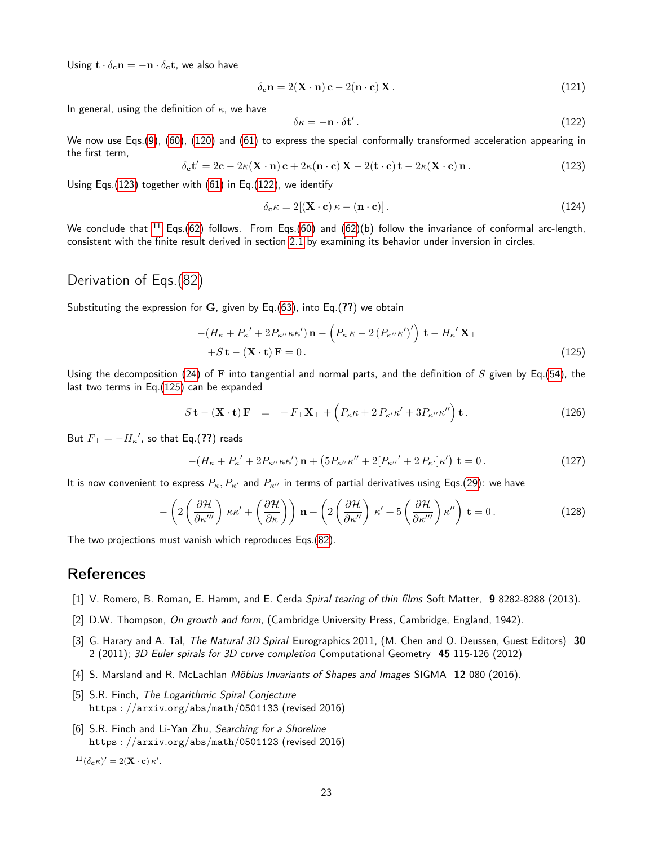Using  $\mathbf{t} \cdot \delta_{\mathbf{c}} \mathbf{n} = -\mathbf{n} \cdot \delta_{\mathbf{c}} \mathbf{t}$ , we also have

$$
\delta_{\mathbf{c}} \mathbf{n} = 2(\mathbf{X} \cdot \mathbf{n}) \mathbf{c} - 2(\mathbf{n} \cdot \mathbf{c}) \mathbf{X}.
$$
 (121)

In general, using the definition of  $\kappa$ , we have

<span id="page-22-7"></span>
$$
\delta \kappa = -\mathbf{n} \cdot \delta \mathbf{t}' \,. \tag{122}
$$

We now use Eqs.[\(9\)](#page-3-2), [\(60\)](#page-11-4), [\(120\)](#page-21-2) and [\(61\)](#page-11-5) to express the special conformally transformed acceleration appearing in the first term,

<span id="page-22-6"></span>
$$
\delta_{\mathbf{c}} \mathbf{t}' = 2\mathbf{c} - 2\kappa (\mathbf{X} \cdot \mathbf{n}) \mathbf{c} + 2\kappa (\mathbf{n} \cdot \mathbf{c}) \mathbf{X} - 2(\mathbf{t} \cdot \mathbf{c}) \mathbf{t} - 2\kappa (\mathbf{X} \cdot \mathbf{c}) \mathbf{n}.
$$
 (123)

Using Eqs.[\(123\)](#page-22-6) together with [\(61\)](#page-11-5) in Eq.[\(122\)](#page-22-7), we identify

$$
\delta_{\mathbf{c}} \kappa = 2[(\mathbf{X} \cdot \mathbf{c}) \kappa - (\mathbf{n} \cdot \mathbf{c})]. \tag{124}
$$

We conclude that  $^{11}$  $^{11}$  $^{11}$  Eqs.[\(62\)](#page-11-6) follows. From Eqs.[\(60\)](#page-11-4) and (62)(b) follow the invariance of conformal arc-length, consistent with the finite result derived in section [2.1](#page-4-5) by examining its behavior under inversion in circles.

## Derivation of Eqs.[\(82\)](#page-14-4)

Substituting the expression for G, given by Eq.[\(63\)](#page-11-2), into Eq.(??) we obtain

<span id="page-22-9"></span>
$$
-(H_{\kappa} + P_{\kappa}' + 2P_{\kappa''}\kappa\kappa')\mathbf{n} - \left(P_{\kappa}\kappa - 2\left(P_{\kappa''}\kappa'\right)'\right)\mathbf{t} - H_{\kappa}'\mathbf{X}_{\perp}
$$
  
+
$$
S\mathbf{t} - (\mathbf{X} \cdot \mathbf{t})\mathbf{F} = 0.
$$
 (125)

Using the decomposition [\(24\)](#page-6-9) of F into tangential and normal parts, and the definition of S given by Eq.[\(54\)](#page-10-1), the last two terms in Eq.[\(125\)](#page-22-9) can be expanded

$$
S\mathbf{t} - (\mathbf{X} \cdot \mathbf{t})\mathbf{F} = -F_{\perp}\mathbf{X}_{\perp} + \left(P_{\kappa}\kappa + 2\,P_{\kappa'}\kappa' + 3P_{\kappa''}\kappa''\right)\mathbf{t} \,. \tag{126}
$$

But  $F_{\perp}=-H_{\kappa}{}',$  so that Eq.(??) reads

$$
-(H_{\kappa} + P_{\kappa}' + 2P_{\kappa''}\kappa\kappa')\mathbf{n} + (5P_{\kappa''}\kappa'' + 2[P_{\kappa''} + 2P_{\kappa'}]\kappa')\mathbf{t} = 0.
$$
 (127)

It is now convenient to express  $P_{\kappa}$ ,  $P_{\kappa}$  and  $P_{\kappa}$  in terms of partial derivatives using Eqs.[\(29\)](#page-6-7): we have

$$
-\left(2\left(\frac{\partial\mathcal{H}}{\partial\kappa^{\prime\prime\prime}}\right)\kappa\kappa^{\prime}+\left(\frac{\partial\mathcal{H}}{\partial\kappa}\right)\right)\mathbf{n}+\left(2\left(\frac{\partial\mathcal{H}}{\partial\kappa^{\prime\prime}}\right)\kappa^{\prime}+5\left(\frac{\partial\mathcal{H}}{\partial\kappa^{\prime\prime\prime}}\right)\kappa^{\prime\prime}\right)\mathbf{t}=0.
$$
 (128)

The two projections must vanish which reproduces Eqs.[\(82\)](#page-14-4).

### **References**

- <span id="page-22-0"></span>[1] V. Romero, B. Roman, E. Hamm, and E. Cerda Spiral tearing of thin films Soft Matter, 9 8282-8288 (2013).
- <span id="page-22-1"></span>[2] D.W. Thompson, On growth and form, (Cambridge University Press, Cambridge, England, 1942).
- <span id="page-22-2"></span>[3] G. Harary and A. Tal, The Natural 3D Spiral Eurographics 2011, (M. Chen and O. Deussen, Guest Editors) 30 2 (2011); 3D Euler spirals for 3D curve completion Computational Geometry 45 115-126 (2012)
- <span id="page-22-3"></span>[4] S. Marsland and R. McLachlan Möbius Invariants of Shapes and Images SIGMA 12 080 (2016).
- <span id="page-22-4"></span>[5] S.R. Finch, The Logarithmic Spiral Conjecture https : //arxiv.org/abs/math/0501133 (revised 2016)
- <span id="page-22-5"></span>[6] S.R. Finch and Li-Yan Zhu, Searching for a Shoreline https : //arxiv.org/abs/math/0501123 (revised 2016)

<span id="page-22-8"></span> $^{11}(\delta_{\mathbf{c}}\kappa)' = 2(\mathbf{X}\cdot\mathbf{c})\,\kappa'.$